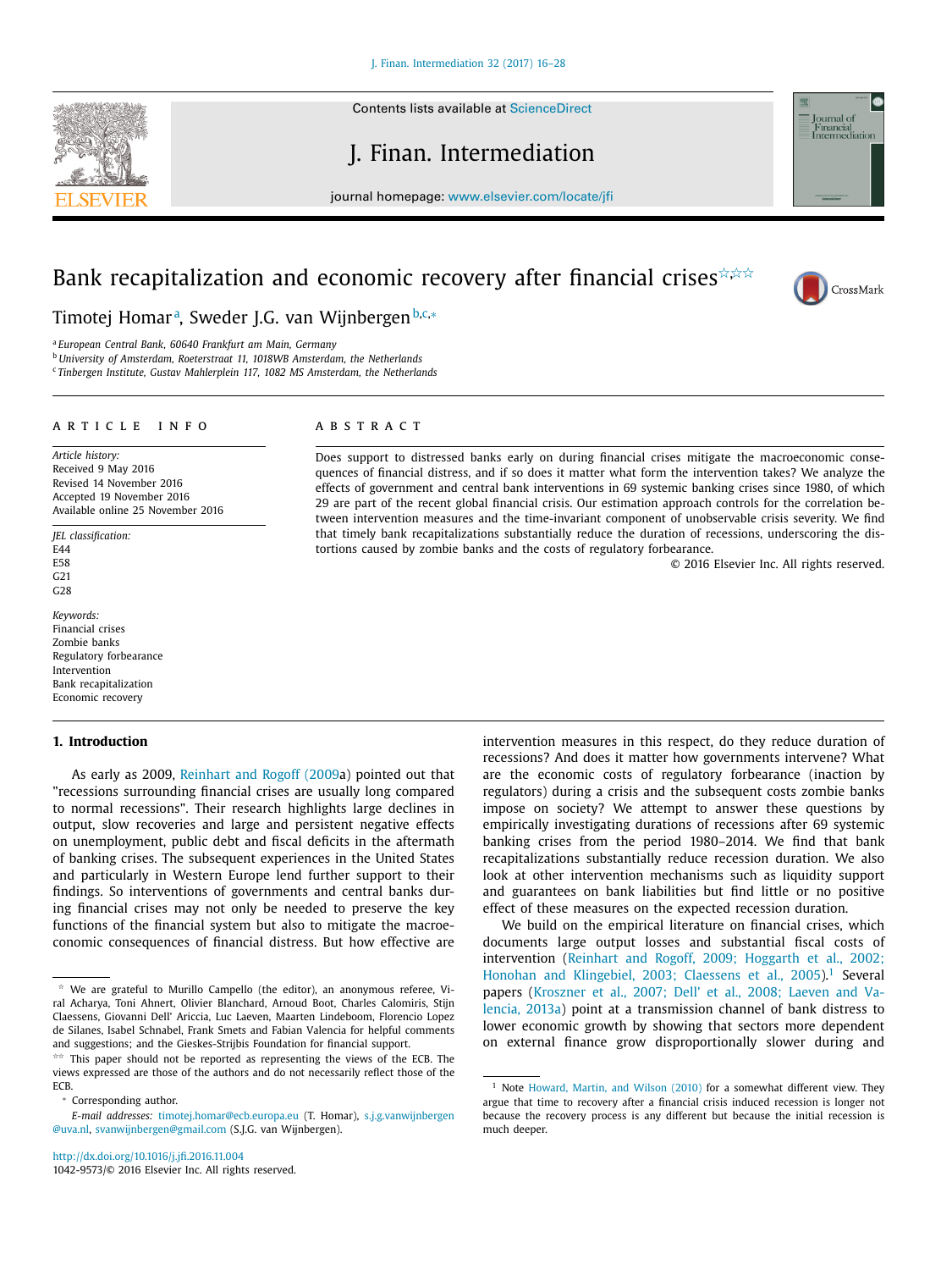Contents lists available at [ScienceDirect](http://www.ScienceDirect.com)



# J. Finan. Intermediation

journal homepage: [www.elsevier.com/locate/jfi](http://www.elsevier.com/locate/jfi)

# Bank recapitalization and economic recovery after financial crises  $\forall x$



ournal of Financial<br>Intermediatio

Timotej Homarª, Sweder J.G. van Wijnbergen<sup>b,c,</sup>∗

<sup>a</sup> *European Central Bank, 60640 Frankfurt am Main, Germany*

<sup>b</sup> *University of Amsterdam, Roeterstraat 11, 1018WB Amsterdam, the Netherlands*

<sup>c</sup> *Tinbergen Institute, Gustav Mahlerplein 117, 1082 MS Amsterdam, the Netherlands*

#### a r t i c l e i n f o

*Article history:* Received 9 May 2016 Revised 14 November 2016 Accepted 19 November 2016 Available online 25 November 2016

*JEL classification:* F<sub>44</sub> E58  $C<sub>21</sub>$ G28

*Keywords:* Financial crises Zombie banks Regulatory forbearance Intervention Bank recapitalization Economic recovery

# **1. Introduction**

As early as 2009, Reinhart and [Rogoff \(2009a](#page-12-0)) pointed out that "recessions surrounding financial crises are usually long compared to normal recessions". Their research highlights large declines in output, slow recoveries and large and persistent negative effects on unemployment, public debt and fiscal deficits in the aftermath of banking crises. The subsequent experiences in the United States and particularly in Western Europe lend further support to their findings. So interventions of governments and central banks during financial crises may not only be needed to preserve the key functions of the financial system but also to mitigate the macroeconomic consequences of financial distress. But how effective are

# a b s t r a c t

Does support to distressed banks early on during financial crises mitigate the macroeconomic consequences of financial distress, and if so does it matter what form the intervention takes? We analyze the effects of government and central bank interventions in 69 systemic banking crises since 1980, of which 29 are part of the recent global financial crisis. Our estimation approach controls for the correlation between intervention measures and the time-invariant component of unobservable crisis severity. We find that timely bank recapitalizations substantially reduce the duration of recessions, underscoring the distortions caused by zombie banks and the costs of regulatory forbearance.

© 2016 Elsevier Inc. All rights reserved.

intervention measures in this respect, do they reduce duration of recessions? And does it matter how governments intervene? What are the economic costs of regulatory forbearance (inaction by regulators) during a crisis and the subsequent costs zombie banks impose on society? We attempt to answer these questions by empirically investigating durations of recessions after 69 systemic banking crises from the period 1980–2014. We find that bank recapitalizations substantially reduce recession duration. We also look at other intervention mechanisms such as liquidity support and guarantees on bank liabilities but find little or no positive effect of these measures on the expected recession duration.

We build on the empirical literature on financial crises, which documents large output losses and substantial fiscal costs of [intervention](#page-12-0) (Reinhart and Rogoff, 2009; Hoggarth et al., 2002; Honohan and Klingebiel, 2003; Claessens et al., 2005).<sup>1</sup> Several papers (Kroszner et al., 2007; Dell' et al., 2008; Laeven and Valencia, 2013a) point at a [transmission](#page-12-0) channel of bank distress to lower economic growth by showing that sectors more dependent on external finance grow disproportionally slower during and

 $*$  We are grateful to Murillo Campello (the editor), an anonymous referee, Viral Acharya, Toni Ahnert, Olivier Blanchard, Arnoud Boot, Charles Calomiris, Stijn Claessens, Giovanni Dell' Ariccia, Luc Laeven, Maarten Lindeboom, Florencio Lopez de Silanes, Isabel Schnabel, Frank Smets and Fabian Valencia for helpful comments and suggestions; and the Gieskes-Strijbis Foundation for financial support.

 $\stackrel{\scriptscriptstyle\rm{def}}{ }$  This paper should not be reported as representing the views of the ECB. The views expressed are those of the authors and do not necessarily reflect those of the **ECB.** 

<sup>∗</sup> Corresponding author.

*E-mail addresses:* [timotej.homar@ecb.europa.eu](mailto:timotej.homar@ecb.europa.eu) (T. Homar), s.j.g.vanwijnbergen @uva.nl, [svanwijnbergen@gmail.com](mailto:svanwijnbergen@gmail.com) (S.J.G. van Wijnbergen).

<sup>&</sup>lt;sup>1</sup> Note [Howard,](#page-12-0) Martin, and Wilson (2010) for a somewhat different view. They argue that time to recovery after a financial crisis induced recession is longer not because the recovery process is any different but because the initial recession is much deeper.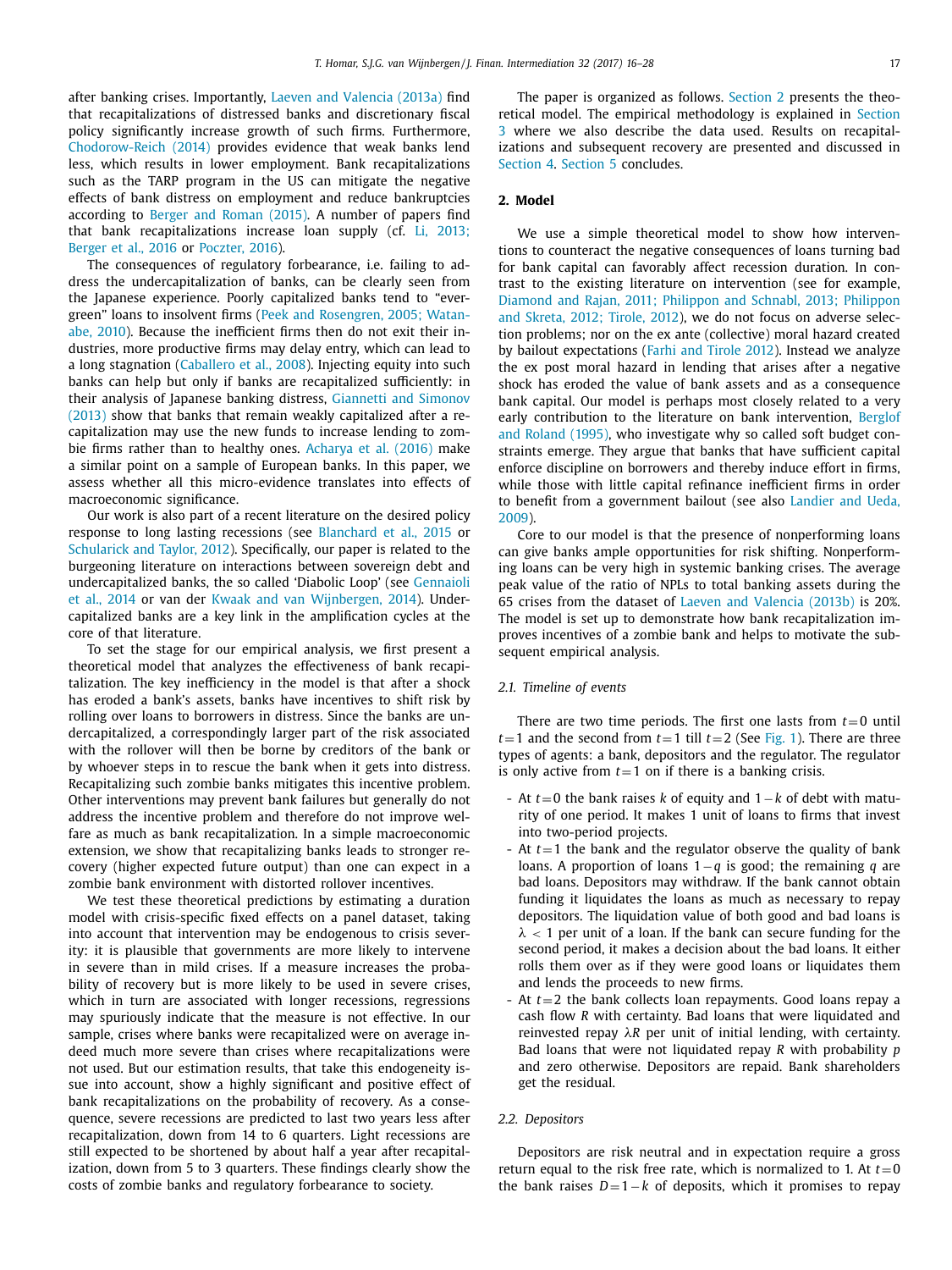<span id="page-1-0"></span>after banking crises. Importantly, Laeven and [Valencia](#page-12-0) (2013a) find that recapitalizations of distressed banks and discretionary fiscal policy significantly increase growth of such firms. Furthermore, [Chodorow-Reich](#page-11-0) (2014) provides evidence that weak banks lend less, which results in lower employment. Bank recapitalizations such as the TARP program in the US can mitigate the negative effects of bank distress on employment and reduce bankruptcies according to Berger and [Roman](#page-11-0) (2015). A number of papers find that bank [recapitalizations](#page-12-0) increase loan supply (cf. Li, 2013; Berger et al., 2016 or [Poczter,](#page-12-0) 2016).

The consequences of regulatory forbearance, i.e. failing to address the undercapitalization of banks, can be clearly seen from the Japanese experience. Poorly capitalized banks tend to "ever[green" loans](#page-12-0) to insolvent firms (Peek and Rosengren, 2005; Watanabe, 2010). Because the inefficient firms then do not exit their industries, more productive firms may delay entry, which can lead to a long stagnation [\(Caballero](#page-11-0) et al., 2008). Injecting equity into such banks can help but only if banks are recapitalized sufficiently: in their analysis of Japanese banking distress, Giannetti and Simonov (2013) show that banks that remain weakly [capitalized](#page-11-0) after a recapitalization may use the new funds to increase lending to zombie firms rather than to healthy ones. [Acharya](#page-11-0) et al. (2016) make a similar point on a sample of European banks. In this paper, we assess whether all this micro-evidence translates into effects of macroeconomic significance.

Our work is also part of a recent literature on the desired policy response to long lasting recessions (see [Blanchard](#page-11-0) et al., 2015 or [Schularick](#page-12-0) and Taylor, 2012). Specifically, our paper is related to the burgeoning literature on interactions between sovereign debt and [undercapitalized](#page-11-0) banks, the so called 'Diabolic Loop' (see Gennaioli et al., 2014 or van der Kwaak and van [Wijnbergen,](#page-12-0) 2014). Undercapitalized banks are a key link in the amplification cycles at the core of that literature.

To set the stage for our empirical analysis, we first present a theoretical model that analyzes the effectiveness of bank recapitalization. The key inefficiency in the model is that after a shock has eroded a bank's assets, banks have incentives to shift risk by rolling over loans to borrowers in distress. Since the banks are undercapitalized, a correspondingly larger part of the risk associated with the rollover will then be borne by creditors of the bank or by whoever steps in to rescue the bank when it gets into distress. Recapitalizing such zombie banks mitigates this incentive problem. Other interventions may prevent bank failures but generally do not address the incentive problem and therefore do not improve welfare as much as bank recapitalization. In a simple macroeconomic extension, we show that recapitalizing banks leads to stronger recovery (higher expected future output) than one can expect in a zombie bank environment with distorted rollover incentives.

We test these theoretical predictions by estimating a duration model with crisis-specific fixed effects on a panel dataset, taking into account that intervention may be endogenous to crisis severity: it is plausible that governments are more likely to intervene in severe than in mild crises. If a measure increases the probability of recovery but is more likely to be used in severe crises, which in turn are associated with longer recessions, regressions may spuriously indicate that the measure is not effective. In our sample, crises where banks were recapitalized were on average indeed much more severe than crises where recapitalizations were not used. But our estimation results, that take this endogeneity issue into account, show a highly significant and positive effect of bank recapitalizations on the probability of recovery. As a consequence, severe recessions are predicted to last two years less after recapitalization, down from 14 to 6 quarters. Light recessions are still expected to be shortened by about half a year after recapitalization, down from 5 to 3 quarters. These findings clearly show the costs of zombie banks and regulatory forbearance to society.

The paper is organized as follows. Section 2 presents the theoretical model. The empirical [methodology](#page-4-0) is explained in Section 3 where we also describe the data used. Results on recapitalizations and subsequent recovery are presented and discussed in [Section](#page-7-0) 4. [Section](#page-11-0) 5 concludes.

# **2. Model**

We use a simple theoretical model to show how interventions to counteract the negative consequences of loans turning bad for bank capital can favorably affect recession duration. In contrast to the existing literature on intervention (see for example, Diamond and Rajan, 2011; Philippon and Schnabl, 2013; [Philippon](#page-11-0) and Skreta, 2012; Tirole, 2012), we do not focus on adverse selection problems; nor on the ex ante (collective) moral hazard created by bailout expectations (Farhi and [Tirole](#page-11-0) 2012). Instead we analyze the ex post moral hazard in lending that arises after a negative shock has eroded the value of bank assets and as a consequence bank capital. Our model is perhaps most closely related to a very early contribution to the literature on bank [intervention,](#page-11-0) Berglof and Roland (1995), who investigate why so called soft budget constraints emerge. They argue that banks that have sufficient capital enforce discipline on borrowers and thereby induce effort in firms, while those with little capital refinance inefficient firms in order to benefit from a [government](#page-12-0) bailout (see also Landier and Ueda, 2009).

Core to our model is that the presence of nonperforming loans can give banks ample opportunities for risk shifting. Nonperforming loans can be very high in systemic banking crises. The average peak value of the ratio of NPLs to total banking assets during the 65 crises from the dataset of Laeven and [Valencia](#page-12-0) (2013b) is 20%. The model is set up to demonstrate how bank recapitalization improves incentives of a zombie bank and helps to motivate the subsequent empirical analysis.

#### *2.1. Timeline of events*

There are two time periods. The first one lasts from  $t=0$  until  $t=1$  and the second from  $t=1$  till  $t=2$  (See [Fig.](#page-2-0) 1). There are three types of agents: a bank, depositors and the regulator. The regulator is only active from  $t=1$  on if there is a banking crisis.

- At *t*=0 the bank raises *k* of equity and 1−*k* of debt with maturity of one period. It makes 1 unit of loans to firms that invest into two-period projects.
- $-$  At  $t=1$  the bank and the regulator observe the quality of bank loans. A proportion of loans 1−*q* is good; the remaining *q* are bad loans. Depositors may withdraw. If the bank cannot obtain funding it liquidates the loans as much as necessary to repay depositors. The liquidation value of both good and bad loans is  $\lambda$  < 1 per unit of a loan. If the bank can secure funding for the second period, it makes a decision about the bad loans. It either rolls them over as if they were good loans or liquidates them and lends the proceeds to new firms.
- At *t*=2 the bank collects loan repayments. Good loans repay a cash flow *R* with certainty. Bad loans that were liquidated and reinvested repay λ*R* per unit of initial lending, with certainty. Bad loans that were not liquidated repay *R* with probability *p* and zero otherwise. Depositors are repaid. Bank shareholders get the residual.

#### *2.2. Depositors*

Depositors are risk neutral and in expectation require a gross return equal to the risk free rate, which is normalized to 1. At  $t=0$ the bank raises *D*=1−*k* of deposits, which it promises to repay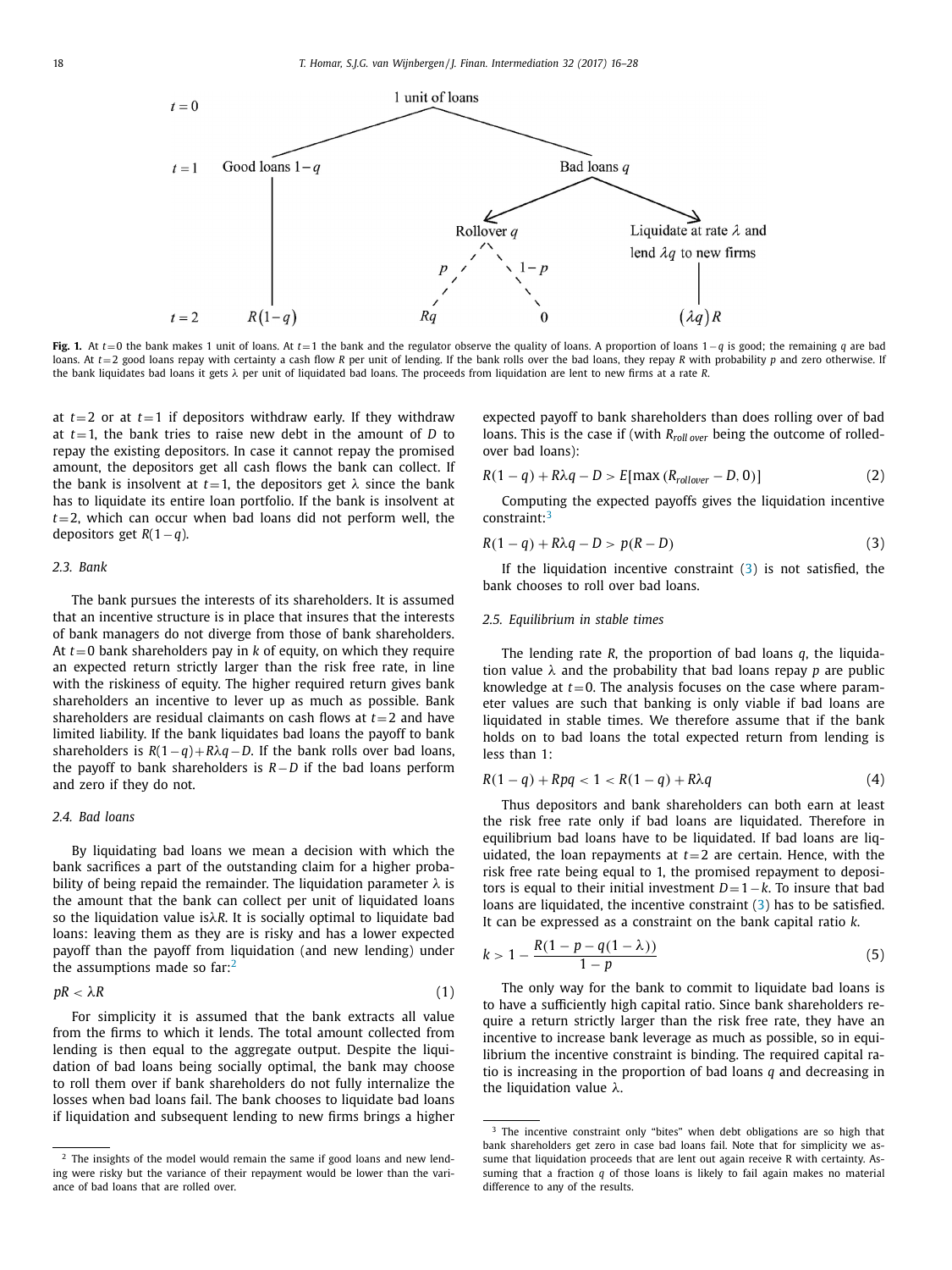<span id="page-2-0"></span>

**Fig. 1.** At *t*=0 the bank makes 1 unit of loans. At *t*=1 the bank and the regulator observe the quality of loans. A proportion of loans 1−*q* is good; the remaining *q* are bad loans. At *t*=2 good loans repay with certainty a cash flow *R* per unit of lending. If the bank rolls over the bad loans, they repay *R* with probability *p* and zero otherwise. If the bank liquidates bad loans it gets λ per unit of liquidated bad loans. The proceeds from liquidation are lent to new firms at a rate *R*.

at  $t=2$  or at  $t=1$  if depositors withdraw early. If they withdraw at *t*=1, the bank tries to raise new debt in the amount of *D* to repay the existing depositors. In case it cannot repay the promised amount, the depositors get all cash flows the bank can collect. If the bank is insolvent at  $t=1$ , the depositors get  $\lambda$  since the bank has to liquidate its entire loan portfolio. If the bank is insolvent at  $t=2$ , which can occur when bad loans did not perform well, the depositors get *R*(1−*q*).

# *2.3. Bank*

The bank pursues the interests of its shareholders. It is assumed that an incentive structure is in place that insures that the interests of bank managers do not diverge from those of bank shareholders. At *t*=0 bank shareholders pay in *k* of equity, on which they require an expected return strictly larger than the risk free rate, in line with the riskiness of equity. The higher required return gives bank shareholders an incentive to lever up as much as possible. Bank shareholders are residual claimants on cash flows at  $t=2$  and have limited liability. If the bank liquidates bad loans the payoff to bank shareholders is *R*(1−*q*)+*R*λ*q*−*D*. If the bank rolls over bad loans, the payoff to bank shareholders is *R*−*D* if the bad loans perform and zero if they do not.

# *2.4. Bad loans*

By liquidating bad loans we mean a decision with which the bank sacrifices a part of the outstanding claim for a higher probability of being repaid the remainder. The liquidation parameter  $\lambda$  is the amount that the bank can collect per unit of liquidated loans so the liquidation value isλ*R*. It is socially optimal to liquidate bad loans: leaving them as they are is risky and has a lower expected payoff than the payoff from liquidation (and new lending) under the assumptions made so  $far:$ <sup>2</sup>

$$
pR < \lambda R \tag{1}
$$

For simplicity it is assumed that the bank extracts all value from the firms to which it lends. The total amount collected from lending is then equal to the aggregate output. Despite the liquidation of bad loans being socially optimal, the bank may choose to roll them over if bank shareholders do not fully internalize the losses when bad loans fail. The bank chooses to liquidate bad loans if liquidation and subsequent lending to new firms brings a higher expected payoff to bank shareholders than does rolling over of bad loans. This is the case if (with  $R_{roll over}$  being the outcome of rolledover bad loans):

$$
R(1-q) + R\lambda q - D > E[\max(R_{\text{rollover}} - D, 0)] \tag{2}
$$

Computing the expected payoffs gives the liquidation incentive constraint:<sup>3</sup>

$$
R(1-q) + R\lambda q - D > p(R - D)
$$
\n(3)

If the liquidation incentive constraint  $(3)$  is not satisfied, the bank chooses to roll over bad loans.

# *2.5. Equilibrium in stable times*

The lending rate *R*, the proportion of bad loans *q*, the liquidation value λ and the probability that bad loans repay *p* are public knowledge at  $t=0$ . The analysis focuses on the case where parameter values are such that banking is only viable if bad loans are liquidated in stable times. We therefore assume that if the bank holds on to bad loans the total expected return from lending is less than 1:

$$
R(1-q) + Rpq < 1 < R(1-q) + R\lambda q \tag{4}
$$

Thus depositors and bank shareholders can both earn at least the risk free rate only if bad loans are liquidated. Therefore in equilibrium bad loans have to be liquidated. If bad loans are liquidated, the loan repayments at  $t=2$  are certain. Hence, with the risk free rate being equal to 1, the promised repayment to depositors is equal to their initial investment *D*=1−*k*. To insure that bad loans are liquidated, the incentive constraint (3) has to be satisfied. It can be expressed as a constraint on the bank capital ratio *k*.

$$
k > 1 - \frac{R(1 - p - q(1 - \lambda))}{1 - p} \tag{5}
$$

The only way for the bank to commit to liquidate bad loans is to have a sufficiently high capital ratio. Since bank shareholders require a return strictly larger than the risk free rate, they have an incentive to increase bank leverage as much as possible, so in equilibrium the incentive constraint is binding. The required capital ratio is increasing in the proportion of bad loans *q* and decreasing in the liquidation value  $\lambda$ .

<sup>&</sup>lt;sup>2</sup> The insights of the model would remain the same if good loans and new lending were risky but the variance of their repayment would be lower than the variance of bad loans that are rolled over.

<sup>&</sup>lt;sup>3</sup> The incentive constraint only "bites" when debt obligations are so high that bank shareholders get zero in case bad loans fail. Note that for simplicity we assume that liquidation proceeds that are lent out again receive R with certainty. Assuming that a fraction *q* of those loans is likely to fail again makes no material difference to any of the results.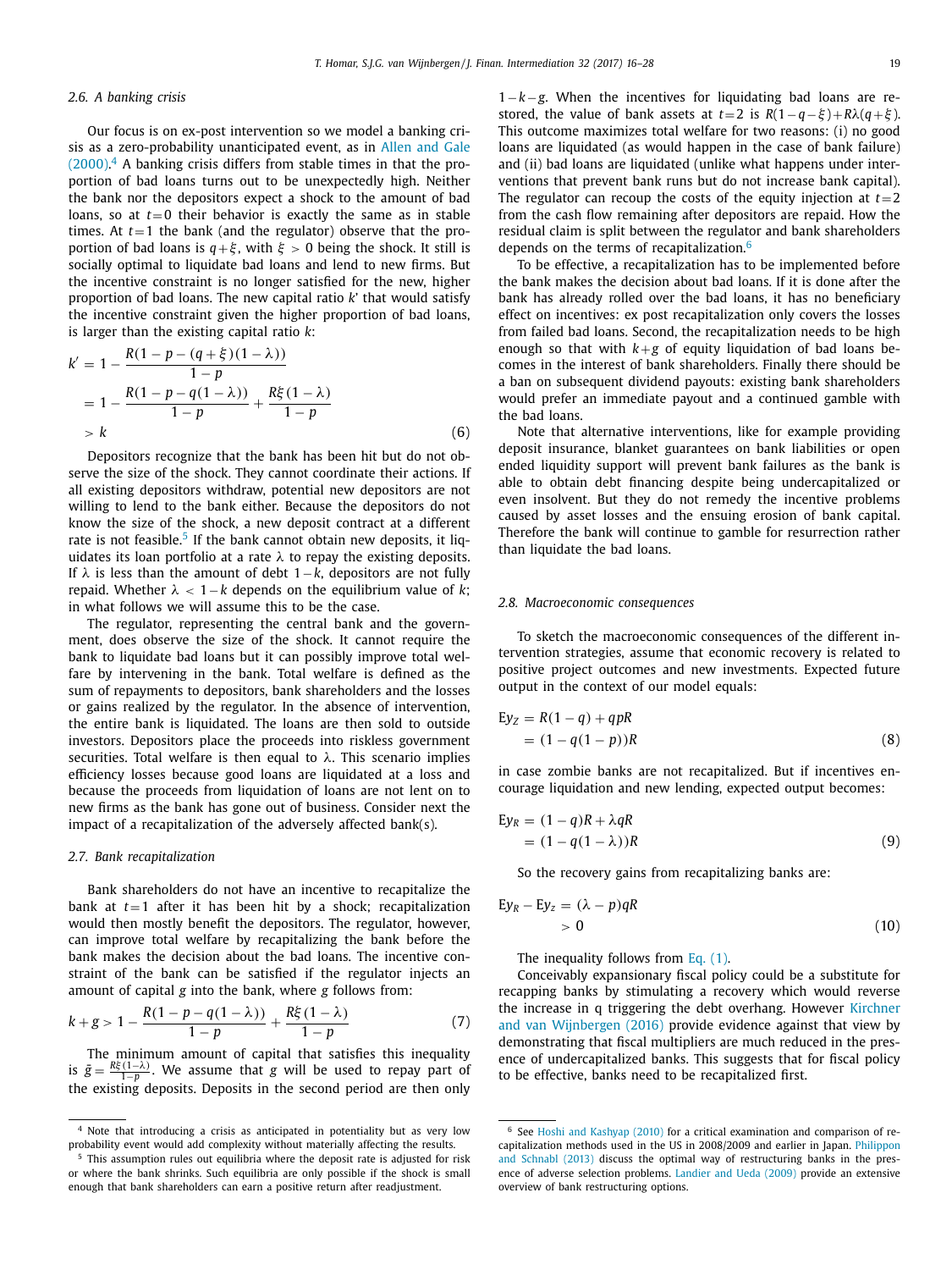# *2.6. A banking crisis*

Our focus is on ex-post intervention so we model a banking crisis as a [zero-probability](#page-11-0) unanticipated event, as in Allen and Gale  $(2000)$ <sup>4</sup> A banking crisis differs from stable times in that the proportion of bad loans turns out to be unexpectedly high. Neither the bank nor the depositors expect a shock to the amount of bad loans, so at  $t=0$  their behavior is exactly the same as in stable times. At  $t=1$  the bank (and the regulator) observe that the proportion of bad loans is  $q+\xi$ , with  $\xi > 0$  being the shock. It still is socially optimal to liquidate bad loans and lend to new firms. But the incentive constraint is no longer satisfied for the new, higher proportion of bad loans. The new capital ratio *k*' that would satisfy the incentive constraint given the higher proportion of bad loans, is larger than the existing capital ratio *k*:

$$
k' = 1 - \frac{R(1 - p - (q + \xi)(1 - \lambda))}{1 - p}
$$
  
= 1 - \frac{R(1 - p - q(1 - \lambda))}{1 - p} + \frac{R\xi(1 - \lambda)}{1 - p}  
> k (6)

Depositors recognize that the bank has been hit but do not observe the size of the shock. They cannot coordinate their actions. If all existing depositors withdraw, potential new depositors are not willing to lend to the bank either. Because the depositors do not know the size of the shock, a new deposit contract at a different rate is not feasible.<sup>5</sup> If the bank cannot obtain new deposits, it liquidates its loan portfolio at a rate  $\lambda$  to repay the existing deposits. If  $\lambda$  is less than the amount of debt 1–*k*, depositors are not fully repaid. Whether λ < 1−*k* depends on the equilibrium value of *k*; in what follows we will assume this to be the case.

The regulator, representing the central bank and the government, does observe the size of the shock. It cannot require the bank to liquidate bad loans but it can possibly improve total welfare by intervening in the bank. Total welfare is defined as the sum of repayments to depositors, bank shareholders and the losses or gains realized by the regulator. In the absence of intervention, the entire bank is liquidated. The loans are then sold to outside investors. Depositors place the proceeds into riskless government securities. Total welfare is then equal to  $\lambda$ . This scenario implies efficiency losses because good loans are liquidated at a loss and because the proceeds from liquidation of loans are not lent on to new firms as the bank has gone out of business. Consider next the impact of a recapitalization of the adversely affected bank(s).

# *2.7. Bank recapitalization*

Bank shareholders do not have an incentive to recapitalize the bank at  $t=1$  after it has been hit by a shock; recapitalization would then mostly benefit the depositors. The regulator, however, can improve total welfare by recapitalizing the bank before the bank makes the decision about the bad loans. The incentive constraint of the bank can be satisfied if the regulator injects an amount of capital *g* into the bank, where *g* follows from:

$$
k+g>1-\frac{R(1-p-q(1-\lambda))}{1-p}+\frac{R\xi(1-\lambda)}{1-p}
$$
 (7)

The minimum amount of capital that satisfies this inequality is  $\bar{g} = \frac{R\xi(1-\lambda)}{1-p}$ . We assume that *g* will be used to repay part of the existing deposits. Deposits in the second period are then only 1−*k*−*g*. When the incentives for liquidating bad loans are restored, the value of bank assets at  $t=2$  is  $R(1-q-\xi) + R\lambda(q+\xi)$ . This outcome maximizes total welfare for two reasons: (i) no good loans are liquidated (as would happen in the case of bank failure) and (ii) bad loans are liquidated (unlike what happens under interventions that prevent bank runs but do not increase bank capital). The regulator can recoup the costs of the equity injection at  $t=2$ from the cash flow remaining after depositors are repaid. How the residual claim is split between the regulator and bank shareholders depends on the terms of recapitalization.<sup>6</sup>

To be effective, a recapitalization has to be implemented before the bank makes the decision about bad loans. If it is done after the bank has already rolled over the bad loans, it has no beneficiary effect on incentives: ex post recapitalization only covers the losses from failed bad loans. Second, the recapitalization needs to be high enough so that with *k*+*g* of equity liquidation of bad loans becomes in the interest of bank shareholders. Finally there should be a ban on subsequent dividend payouts: existing bank shareholders would prefer an immediate payout and a continued gamble with the bad loans.

Note that alternative interventions, like for example providing deposit insurance, blanket guarantees on bank liabilities or open ended liquidity support will prevent bank failures as the bank is able to obtain debt financing despite being undercapitalized or even insolvent. But they do not remedy the incentive problems caused by asset losses and the ensuing erosion of bank capital. Therefore the bank will continue to gamble for resurrection rather than liquidate the bad loans.

#### *2.8. Macroeconomic consequences*

To sketch the macroeconomic consequences of the different intervention strategies, assume that economic recovery is related to positive project outcomes and new investments. Expected future output in the context of our model equals:

$$
EyZ = R(1 - q) + qpR = (1 - q(1 - p))R
$$
 (8)

in case zombie banks are not recapitalized. But if incentives encourage liquidation and new lending, expected output becomes:

$$
Ey_R = (1 - q)R + \lambda qR
$$
  
=  $(1 - q(1 - \lambda))R$  (9)

So the recovery gains from recapitalizing banks are:

$$
EyR - EyZ = (\lambda - p)qR
$$
  
> 0 (10)

The inequality follows from Eq. [\(1\).](#page-2-0)

Conceivably expansionary fiscal policy could be a substitute for recapping banks by stimulating a recovery which would reverse the increase in q triggering the debt overhang. However Kirchner and van [Wijnbergen](#page-12-0) (2016) provide evidence against that view by demonstrating that fiscal multipliers are much reduced in the presence of undercapitalized banks. This suggests that for fiscal policy to be effective, banks need to be recapitalized first.

<sup>4</sup> Note that introducing a crisis as anticipated in potentiality but as very low probability event would add complexity without materially affecting the results.

This assumption rules out equilibria where the deposit rate is adjusted for risk or where the bank shrinks. Such equilibria are only possible if the shock is small enough that bank shareholders can earn a positive return after readjustment.

<sup>6</sup> See Hoshi and [Kashyap](#page-12-0) (2010) for a critical examination and comparison of re[capitalization](#page-12-0) methods used in the US in 2008/2009 and earlier in Japan. Philippon and Schnabl (2013) discuss the optimal way of restructuring banks in the presence of adverse selection problems. [Landier](#page-12-0) and Ueda (2009) provide an extensive overview of bank restructuring options.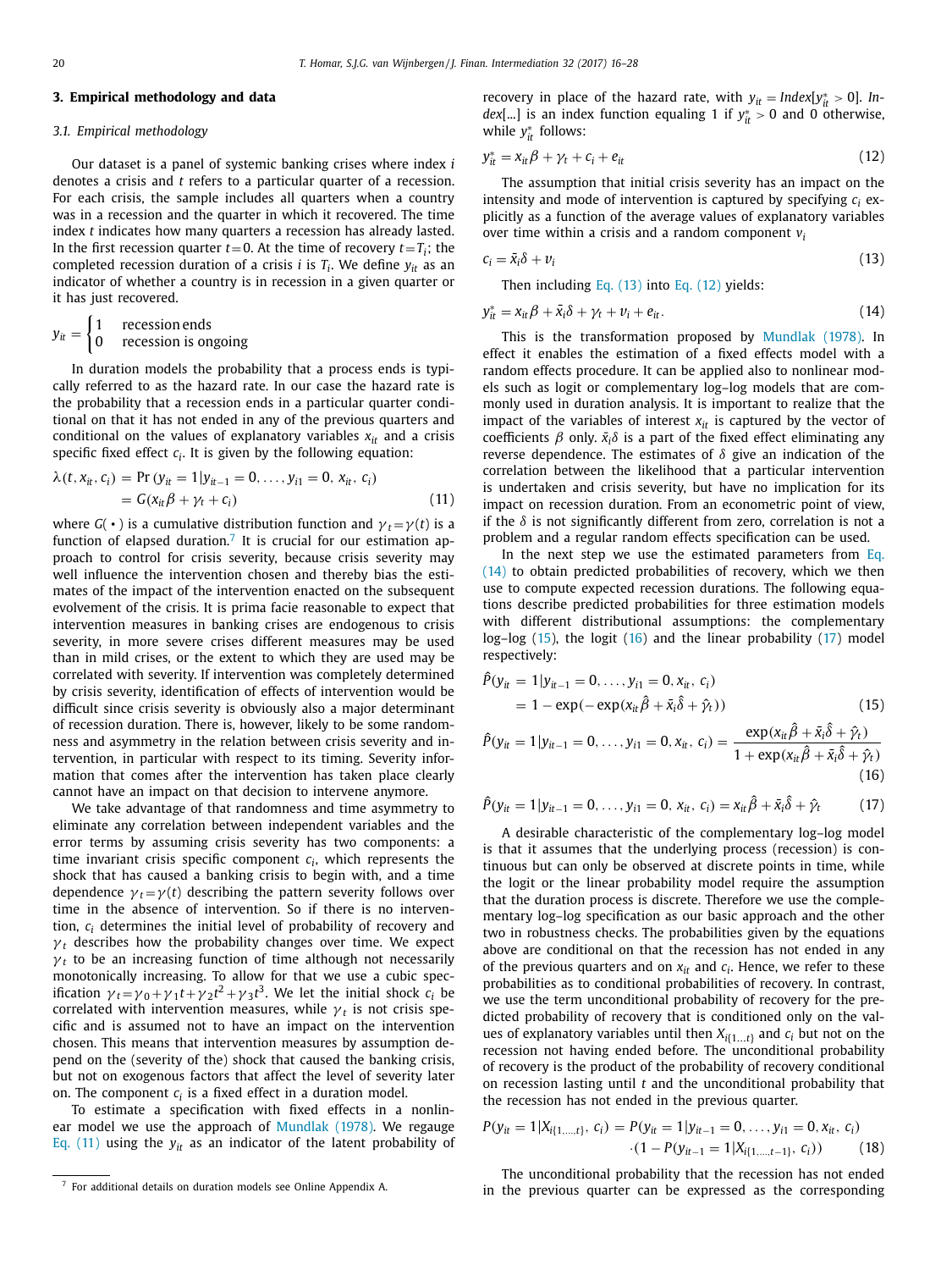# <span id="page-4-0"></span>**3. Empirical methodology and data**

#### *3.1. Empirical methodology*

Our dataset is a panel of systemic banking crises where index *i* denotes a crisis and *t* refers to a particular quarter of a recession. For each crisis, the sample includes all quarters when a country was in a recession and the quarter in which it recovered. The time index *t* indicates how many quarters a recession has already lasted. In the first recession quarter  $t=0$ . At the time of recovery  $t=T_i$ ; the completed recession duration of a crisis *i* is *Ti*. We define *yit* as an indicator of whether a country is in recession in a given quarter or it has just recovered.

$$
y_{it} = \begin{cases} 1 & \text{recession ends} \\ 0 & \text{recession is ongoing} \end{cases}
$$

In duration models the probability that a process ends is typically referred to as the hazard rate. In our case the hazard rate is the probability that a recession ends in a particular quarter conditional on that it has not ended in any of the previous quarters and conditional on the values of explanatory variables  $x_{it}$  and a crisis specific fixed effect *ci*. It is given by the following equation:

$$
\lambda(t, x_{it}, c_i) = \Pr(y_{it} = 1 | y_{it-1} = 0, ..., y_{i1} = 0, x_{it}, c_i)
$$
  
=  $G(x_{it} \beta + \gamma_t + c_i)$  (11)

where  $G(\cdot)$  is a cumulative distribution function and  $\gamma_t = \gamma(t)$  is a function of elapsed duration.<sup>7</sup> It is crucial for our estimation approach to control for crisis severity, because crisis severity may well influence the intervention chosen and thereby bias the estimates of the impact of the intervention enacted on the subsequent evolvement of the crisis. It is prima facie reasonable to expect that intervention measures in banking crises are endogenous to crisis severity, in more severe crises different measures may be used than in mild crises, or the extent to which they are used may be correlated with severity. If intervention was completely determined by crisis severity, identification of effects of intervention would be difficult since crisis severity is obviously also a major determinant of recession duration. There is, however, likely to be some randomness and asymmetry in the relation between crisis severity and intervention, in particular with respect to its timing. Severity information that comes after the intervention has taken place clearly cannot have an impact on that decision to intervene anymore.

We take advantage of that randomness and time asymmetry to eliminate any correlation between independent variables and the error terms by assuming crisis severity has two components: a time invariant crisis specific component *ci*, which represents the shock that has caused a banking crisis to begin with, and a time dependence  $\gamma_t = \gamma(t)$  describing the pattern severity follows over time in the absence of intervention. So if there is no intervention, *ci* determines the initial level of probability of recovery and  $\gamma_t$  describes how the probability changes over time. We expect  $\gamma_t$  to be an increasing function of time although not necessarily monotonically increasing. To allow for that we use a cubic specification  $\gamma_t = \gamma_0 + \gamma_1 t + \gamma_2 t^2 + \gamma_3 t^3$ . We let the initial shock  $c_i$  be correlated with intervention measures, while  $\gamma_t$  is not crisis specific and is assumed not to have an impact on the intervention chosen. This means that intervention measures by assumption depend on the (severity of the) shock that caused the banking crisis, but not on exogenous factors that affect the level of severity later on. The component *ci* is a fixed effect in a duration model.

To estimate a specification with fixed effects in a nonlinear model we use the approach of [Mundlak](#page-12-0) (1978). We regauge Eq.  $(11)$  using the  $y_{it}$  as an indicator of the latent probability of recovery in place of the hazard rate, with  $y_{it} = \text{Index}[y_{it}^* > 0]$ . In*dex*[...] is an index function equaling 1 if  $y_{it}^* > 0$  and 0 otherwise, while  $y_{it}^*$  follows:

$$
y_{it}^* = x_{it}\beta + \gamma_t + c_i + e_{it}
$$
\n(12)

The assumption that initial crisis severity has an impact on the intensity and mode of intervention is captured by specifying *ci* explicitly as a function of the average values of explanatory variables over time within a crisis and a random component *vi*

$$
c_i = \bar{x}_i \delta + \nu_i \tag{13}
$$

Then including Eq. (13) into Eq. (12) yields:

$$
y_{it}^* = x_{it}\beta + \bar{x}_i\delta + \gamma_t + v_i + e_{it}.
$$
\n(14)

This is the transformation proposed by [Mundlak](#page-12-0) (1978). In effect it enables the estimation of a fixed effects model with a random effects procedure. It can be applied also to nonlinear models such as logit or complementary log–log models that are commonly used in duration analysis. It is important to realize that the impact of the variables of interest  $x_{it}$  is captured by the vector of coefficients  $\beta$  only.  $\bar{x}_i\delta$  is a part of the fixed effect eliminating any reverse dependence. The estimates of  $\delta$  give an indication of the correlation between the likelihood that a particular intervention is undertaken and crisis severity, but have no implication for its impact on recession duration. From an econometric point of view, if the  $\delta$  is not significantly different from zero, correlation is not a problem and a regular random effects specification can be used.

In the next step we use the estimated parameters from Eq. (14) to obtain predicted probabilities of recovery, which we then use to compute expected recession durations. The following equations describe predicted probabilities for three estimation models with different distributional assumptions: the complementary log–log (15), the logit (16) and the linear probability (17) model respectively:

$$
\begin{aligned} \hat{P}(y_{it} = 1 | y_{it-1} = 0, \dots, y_{i1} = 0, x_{it}, c_i) \\ &= 1 - \exp(-\exp(x_{it}\hat{\beta} + \bar{x}_i\hat{\delta} + \hat{\gamma}_t)) \end{aligned} \tag{15}
$$

$$
\hat{P}(y_{it} = 1 | y_{it-1} = 0, ..., y_{i1} = 0, x_{it}, c_i) = \frac{\exp(x_{it}\hat{\beta} + \bar{x}_i\hat{\delta} + \hat{\gamma}_t)}{1 + \exp(x_{it}\hat{\beta} + \bar{x}_i\hat{\delta} + \hat{\gamma}_t)}
$$
(16)

$$
\hat{P}(y_{it} = 1 | y_{it-1} = 0, ..., y_{i1} = 0, x_{it}, c_i) = x_{it} \hat{\beta} + \bar{x}_i \hat{\delta} + \hat{\gamma}_t \qquad (17)
$$

A desirable characteristic of the complementary log–log model is that it assumes that the underlying process (recession) is continuous but can only be observed at discrete points in time, while the logit or the linear probability model require the assumption that the duration process is discrete. Therefore we use the complementary log–log specification as our basic approach and the other two in robustness checks. The probabilities given by the equations above are conditional on that the recession has not ended in any of the previous quarters and on  $x_{it}$  and  $c_i$ . Hence, we refer to these probabilities as to conditional probabilities of recovery. In contrast, we use the term unconditional probability of recovery for the predicted probability of recovery that is conditioned only on the values of explanatory variables until then  $X_{i\{1...t\}}$  and  $c_i$  but not on the recession not having ended before. The unconditional probability of recovery is the product of the probability of recovery conditional on recession lasting until *t* and the unconditional probability that the recession has not ended in the previous quarter.

$$
P(y_{it} = 1 | X_{i\{1,\dots,t\}}, c_i) = P(y_{it} = 1 | y_{it-1} = 0, \dots, y_{i1} = 0, x_{it}, c_i)
$$

$$
\cdot (1 - P(y_{it-1} = 1 | X_{i\{1,\dots,t-1\}}, c_i)) \tag{18}
$$

The unconditional probability that the recession has not ended in the previous quarter can be expressed as the corresponding

<sup>7</sup> For additional details on duration models see Online Appendix A.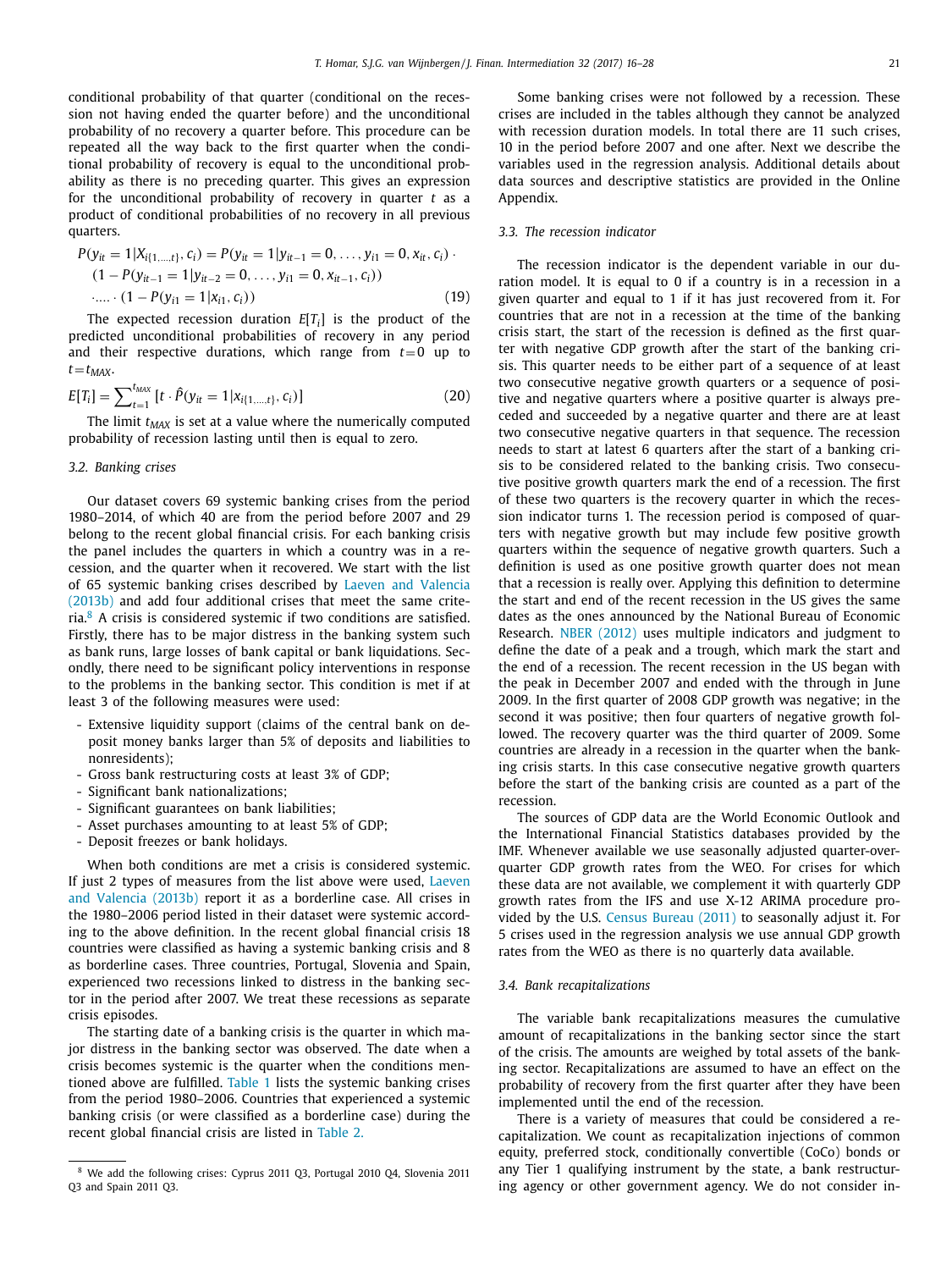<span id="page-5-0"></span>conditional probability of that quarter (conditional on the recession not having ended the quarter before) and the unconditional probability of no recovery a quarter before. This procedure can be repeated all the way back to the first quarter when the conditional probability of recovery is equal to the unconditional probability as there is no preceding quarter. This gives an expression for the unconditional probability of recovery in quarter *t* as a product of conditional probabilities of no recovery in all previous quarters.

$$
P(y_{it} = 1 | X_{i\{1,\ldots,t\}}, c_i) = P(y_{it} = 1 | y_{it-1} = 0, \ldots, y_{i1} = 0, x_{it}, c_i) \cdot (1 - P(y_{it-1} = 1 | y_{it-2} = 0, \ldots, y_{i1} = 0, x_{it-1}, c_i)) \cdot \ldots \cdot (1 - P(y_{i1} = 1 | x_{i1}, c_i)) \tag{19}
$$

The expected recession duration  $E[T_i]$  is the product of the predicted unconditional probabilities of recovery in any period and their respective durations, which range from  $t=0$  up to  $t = t_{MAX}$ .

$$
E[T_i] = \sum_{t=1}^{t_{MAX}} [t \cdot \hat{P}(y_{it} = 1 | x_{i\{1, \dots, t\}}, c_i)] \tag{20}
$$

The limit  $t_{MAX}$  is set at a value where the numerically computed probability of recession lasting until then is equal to zero.

#### *3.2. Banking crises*

Our dataset covers 69 systemic banking crises from the period 1980–2014, of which 40 are from the period before 2007 and 29 belong to the recent global financial crisis. For each banking crisis the panel includes the quarters in which a country was in a recession, and the quarter when it recovered. We start with the list of 65 systemic banking crises described by Laeven and Valencia (2013b) and add four [additional](#page-12-0) crises that meet the same criteria.<sup>8</sup> A crisis is considered systemic if two conditions are satisfied. Firstly, there has to be major distress in the banking system such as bank runs, large losses of bank capital or bank liquidations. Secondly, there need to be significant policy interventions in response to the problems in the banking sector. This condition is met if at least 3 of the following measures were used:

- Extensive liquidity support (claims of the central bank on deposit money banks larger than 5% of deposits and liabilities to nonresidents);
- Gross bank restructuring costs at least 3% of GDP;
- Significant bank nationalizations;
- Significant guarantees on bank liabilities;
- Asset purchases amounting to at least 5% of GDP;
- Deposit freezes or bank holidays.

When both conditions are met a crisis is considered systemic. If just 2 types of measures from the list above were used, Laeven and Valencia (2013b) report it as a [borderline](#page-12-0) case. All crises in the 1980–2006 period listed in their dataset were systemic according to the above definition. In the recent global financial crisis 18 countries were classified as having a systemic banking crisis and 8 as borderline cases. Three countries, Portugal, Slovenia and Spain, experienced two recessions linked to distress in the banking sector in the period after 2007. We treat these recessions as separate crisis episodes.

The starting date of a banking crisis is the quarter in which major distress in the banking sector was observed. The date when a crisis becomes systemic is the quarter when the conditions mentioned above are fulfilled. [Table](#page-6-0) 1 lists the systemic banking crises from the period 1980–2006. Countries that experienced a systemic banking crisis (or were classified as a borderline case) during the recent global financial crisis are listed in [Table](#page-7-0) 2.

Some banking crises were not followed by a recession. These crises are included in the tables although they cannot be analyzed with recession duration models. In total there are 11 such crises, 10 in the period before 2007 and one after. Next we describe the variables used in the regression analysis. Additional details about data sources and descriptive statistics are provided in the Online Appendix.

# *3.3. The recession indicator*

The recession indicator is the dependent variable in our duration model. It is equal to 0 if a country is in a recession in a given quarter and equal to 1 if it has just recovered from it. For countries that are not in a recession at the time of the banking crisis start, the start of the recession is defined as the first quarter with negative GDP growth after the start of the banking crisis. This quarter needs to be either part of a sequence of at least two consecutive negative growth quarters or a sequence of positive and negative quarters where a positive quarter is always preceded and succeeded by a negative quarter and there are at least two consecutive negative quarters in that sequence. The recession needs to start at latest 6 quarters after the start of a banking crisis to be considered related to the banking crisis. Two consecutive positive growth quarters mark the end of a recession. The first of these two quarters is the recovery quarter in which the recession indicator turns 1. The recession period is composed of quarters with negative growth but may include few positive growth quarters within the sequence of negative growth quarters. Such a definition is used as one positive growth quarter does not mean that a recession is really over. Applying this definition to determine the start and end of the recent recession in the US gives the same dates as the ones announced by the National Bureau of Economic Research. NBER [\(2012\)](#page-12-0) uses multiple indicators and judgment to define the date of a peak and a trough, which mark the start and the end of a recession. The recent recession in the US began with the peak in December 2007 and ended with the through in June 2009. In the first quarter of 2008 GDP growth was negative; in the second it was positive; then four quarters of negative growth followed. The recovery quarter was the third quarter of 2009. Some countries are already in a recession in the quarter when the banking crisis starts. In this case consecutive negative growth quarters before the start of the banking crisis are counted as a part of the recession.

The sources of GDP data are the World Economic Outlook and the International Financial Statistics databases provided by the IMF. Whenever available we use seasonally adjusted quarter-overquarter GDP growth rates from the WEO. For crises for which these data are not available, we complement it with quarterly GDP growth rates from the IFS and use X-12 ARIMA procedure provided by the U.S. Census [Bureau](#page-12-0) (2011) to seasonally adjust it. For 5 crises used in the regression analysis we use annual GDP growth rates from the WEO as there is no quarterly data available.

#### *3.4. Bank recapitalizations*

The variable bank recapitalizations measures the cumulative amount of recapitalizations in the banking sector since the start of the crisis. The amounts are weighed by total assets of the banking sector. Recapitalizations are assumed to have an effect on the probability of recovery from the first quarter after they have been implemented until the end of the recession.

There is a variety of measures that could be considered a recapitalization. We count as recapitalization injections of common equity, preferred stock, conditionally convertible (CoCo) bonds or any Tier 1 qualifying instrument by the state, a bank restructuring agency or other government agency. We do not consider in-

<sup>8</sup> We add the following crises: Cyprus 2011 Q3, Portugal 2010 Q4, Slovenia 2011 Q3 and Spain 2011 Q3.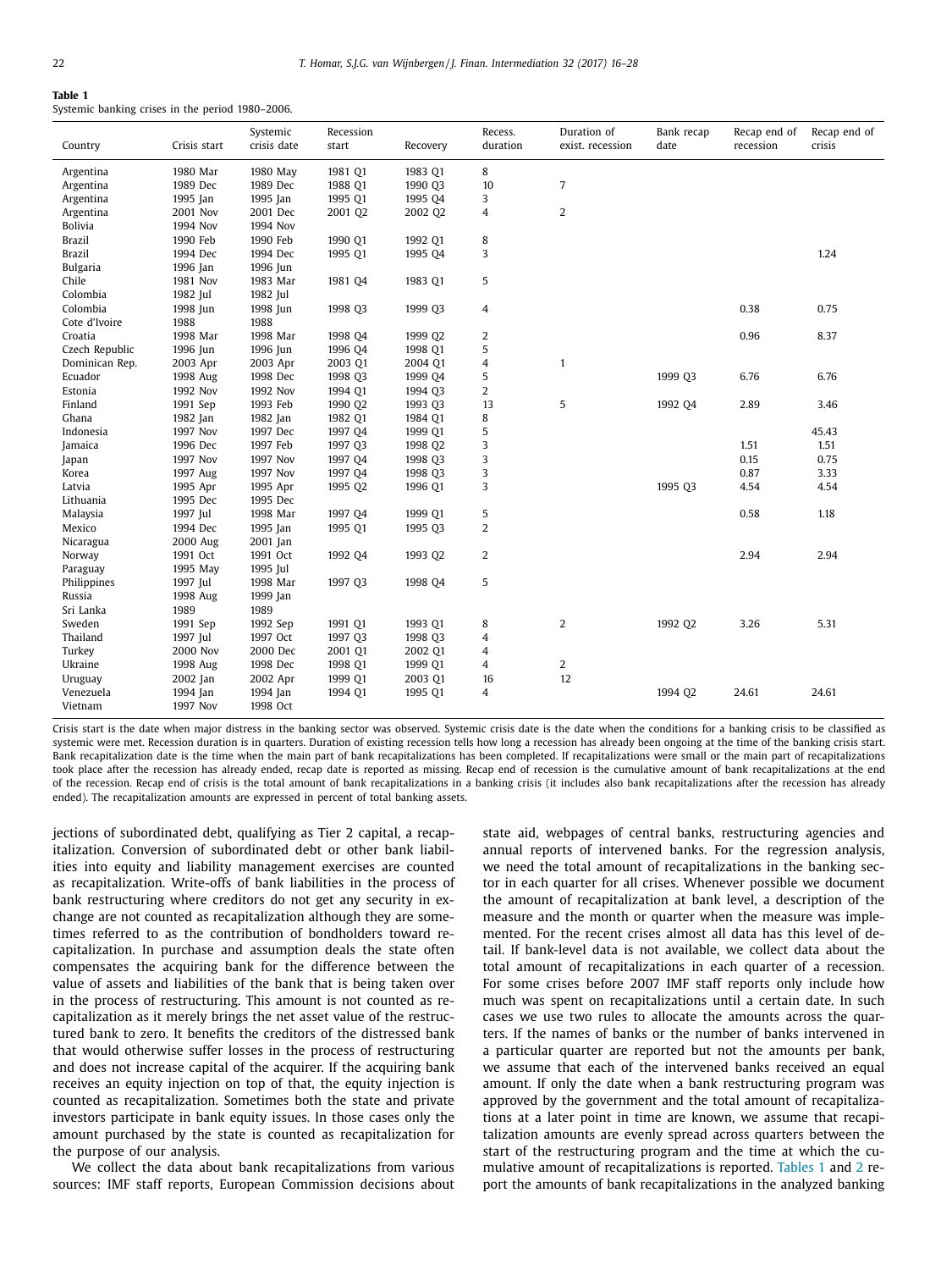# <span id="page-6-0"></span>**Table 1**

| Systemic banking crises in the period 1980–2006. |  |  |  |
|--------------------------------------------------|--|--|--|
|--------------------------------------------------|--|--|--|

| 8<br>1980 Mar<br>1981 Q1<br>Argentina<br>1980 May<br>1983 Q1<br>$\overline{7}$<br>1988 01<br>10<br>Argentina<br>1989 Dec<br>1989 Dec<br>1990 03<br>Argentina<br>1995 01<br>3<br>1995 Jan<br>1995 Jan<br>1995 04<br>$\overline{4}$<br>$\overline{2}$<br>2001 Q2<br>2002 Q2<br>Argentina<br>2001 Nov<br>2001 Dec<br><b>Bolivia</b><br>1994 Nov<br>1994 Nov<br>1990 Q1<br>8<br><b>Brazil</b><br>1990 Feb<br>1990 Feb<br>1992 Q1<br>3<br><b>Brazil</b><br>1995 Q1<br>1.24<br>1994 Dec<br>1994 Dec<br>1995 Q4<br>1996 Jan<br>1996 Jun<br><b>Bulgaria</b><br>$\sqrt{5}$<br>Chile<br>1981 Nov<br>1983 Mar<br>1981 Q4<br>1983 Q1<br>Colombia<br>1982 Jul<br>1982 Jul<br>Colombia<br>1998 03<br>$\overline{4}$<br>0.38<br>0.75<br>1998 Jun<br>1998 Jun<br>1999 03<br>Cote d'Ivoire<br>1988<br>1988<br>$\overline{2}$<br>0.96<br>8.37<br>Croatia<br>1998 Q4<br>1998 Mar<br>1998 Mar<br>1999 Q2<br>5<br>Czech Republic<br>1996 Q4<br>1998 Q1<br>1996 Jun<br>1996 Jun<br>2003 01<br>$\overline{4}$<br>$\mathbf{1}$<br>Dominican Rep.<br>2003 Apr<br>2003 Apr<br>2004 Q1<br>5<br>6.76<br>6.76<br>Ecuador<br>1998 Aug<br>1998 Dec<br>1998 03<br>1999 Q4<br>1999 03 | Country | Crisis start | Systemic<br>crisis date | Recession<br>start | Recovery | Recess.<br>duration | Duration of<br>exist. recession | Bank recap<br>date | Recap end of<br>recession | Recap end of<br>crisis |
|------------------------------------------------------------------------------------------------------------------------------------------------------------------------------------------------------------------------------------------------------------------------------------------------------------------------------------------------------------------------------------------------------------------------------------------------------------------------------------------------------------------------------------------------------------------------------------------------------------------------------------------------------------------------------------------------------------------------------------------------------------------------------------------------------------------------------------------------------------------------------------------------------------------------------------------------------------------------------------------------------------------------------------------------------------------------------------------------------------------------------------------------------|---------|--------------|-------------------------|--------------------|----------|---------------------|---------------------------------|--------------------|---------------------------|------------------------|
|                                                                                                                                                                                                                                                                                                                                                                                                                                                                                                                                                                                                                                                                                                                                                                                                                                                                                                                                                                                                                                                                                                                                                      |         |              |                         |                    |          |                     |                                 |                    |                           |                        |
|                                                                                                                                                                                                                                                                                                                                                                                                                                                                                                                                                                                                                                                                                                                                                                                                                                                                                                                                                                                                                                                                                                                                                      |         |              |                         |                    |          |                     |                                 |                    |                           |                        |
|                                                                                                                                                                                                                                                                                                                                                                                                                                                                                                                                                                                                                                                                                                                                                                                                                                                                                                                                                                                                                                                                                                                                                      |         |              |                         |                    |          |                     |                                 |                    |                           |                        |
|                                                                                                                                                                                                                                                                                                                                                                                                                                                                                                                                                                                                                                                                                                                                                                                                                                                                                                                                                                                                                                                                                                                                                      |         |              |                         |                    |          |                     |                                 |                    |                           |                        |
|                                                                                                                                                                                                                                                                                                                                                                                                                                                                                                                                                                                                                                                                                                                                                                                                                                                                                                                                                                                                                                                                                                                                                      |         |              |                         |                    |          |                     |                                 |                    |                           |                        |
|                                                                                                                                                                                                                                                                                                                                                                                                                                                                                                                                                                                                                                                                                                                                                                                                                                                                                                                                                                                                                                                                                                                                                      |         |              |                         |                    |          |                     |                                 |                    |                           |                        |
|                                                                                                                                                                                                                                                                                                                                                                                                                                                                                                                                                                                                                                                                                                                                                                                                                                                                                                                                                                                                                                                                                                                                                      |         |              |                         |                    |          |                     |                                 |                    |                           |                        |
|                                                                                                                                                                                                                                                                                                                                                                                                                                                                                                                                                                                                                                                                                                                                                                                                                                                                                                                                                                                                                                                                                                                                                      |         |              |                         |                    |          |                     |                                 |                    |                           |                        |
|                                                                                                                                                                                                                                                                                                                                                                                                                                                                                                                                                                                                                                                                                                                                                                                                                                                                                                                                                                                                                                                                                                                                                      |         |              |                         |                    |          |                     |                                 |                    |                           |                        |
|                                                                                                                                                                                                                                                                                                                                                                                                                                                                                                                                                                                                                                                                                                                                                                                                                                                                                                                                                                                                                                                                                                                                                      |         |              |                         |                    |          |                     |                                 |                    |                           |                        |
|                                                                                                                                                                                                                                                                                                                                                                                                                                                                                                                                                                                                                                                                                                                                                                                                                                                                                                                                                                                                                                                                                                                                                      |         |              |                         |                    |          |                     |                                 |                    |                           |                        |
|                                                                                                                                                                                                                                                                                                                                                                                                                                                                                                                                                                                                                                                                                                                                                                                                                                                                                                                                                                                                                                                                                                                                                      |         |              |                         |                    |          |                     |                                 |                    |                           |                        |
|                                                                                                                                                                                                                                                                                                                                                                                                                                                                                                                                                                                                                                                                                                                                                                                                                                                                                                                                                                                                                                                                                                                                                      |         |              |                         |                    |          |                     |                                 |                    |                           |                        |
|                                                                                                                                                                                                                                                                                                                                                                                                                                                                                                                                                                                                                                                                                                                                                                                                                                                                                                                                                                                                                                                                                                                                                      |         |              |                         |                    |          |                     |                                 |                    |                           |                        |
|                                                                                                                                                                                                                                                                                                                                                                                                                                                                                                                                                                                                                                                                                                                                                                                                                                                                                                                                                                                                                                                                                                                                                      |         |              |                         |                    |          |                     |                                 |                    |                           |                        |
|                                                                                                                                                                                                                                                                                                                                                                                                                                                                                                                                                                                                                                                                                                                                                                                                                                                                                                                                                                                                                                                                                                                                                      |         |              |                         |                    |          |                     |                                 |                    |                           |                        |
|                                                                                                                                                                                                                                                                                                                                                                                                                                                                                                                                                                                                                                                                                                                                                                                                                                                                                                                                                                                                                                                                                                                                                      |         |              |                         |                    |          |                     |                                 |                    |                           |                        |
|                                                                                                                                                                                                                                                                                                                                                                                                                                                                                                                                                                                                                                                                                                                                                                                                                                                                                                                                                                                                                                                                                                                                                      | Estonia | 1992 Nov     | 1992 Nov                | 1994 Q1            | 1994 Q3  | $\overline{2}$      |                                 |                    |                           |                        |
| 13<br>5<br>2.89<br>3.46<br>Finland<br>1993 Feb<br>1990 Q2<br>1993 Q3<br>1992 Q4<br>1991 Sep                                                                                                                                                                                                                                                                                                                                                                                                                                                                                                                                                                                                                                                                                                                                                                                                                                                                                                                                                                                                                                                          |         |              |                         |                    |          |                     |                                 |                    |                           |                        |
| 1982 Q1<br>8<br>Ghana<br>1982 Jan<br>1982 Jan<br>1984 01                                                                                                                                                                                                                                                                                                                                                                                                                                                                                                                                                                                                                                                                                                                                                                                                                                                                                                                                                                                                                                                                                             |         |              |                         |                    |          |                     |                                 |                    |                           |                        |
| 5<br>Indonesia<br>1997 Nov<br>1997 Dec<br>1997 04<br>1999 Q1<br>45.43                                                                                                                                                                                                                                                                                                                                                                                                                                                                                                                                                                                                                                                                                                                                                                                                                                                                                                                                                                                                                                                                                |         |              |                         |                    |          |                     |                                 |                    |                           |                        |
| 3<br>1996 Dec<br>1997 Feb<br>1997 03<br>1.51<br>1.51<br>Jamaica<br>1998 02                                                                                                                                                                                                                                                                                                                                                                                                                                                                                                                                                                                                                                                                                                                                                                                                                                                                                                                                                                                                                                                                           |         |              |                         |                    |          |                     |                                 |                    |                           |                        |
| $\mathbf{3}$<br>0.75<br>1997 Nov<br>1997 Nov<br>1997 Q4<br>1998 Q3<br>0.15<br>Japan                                                                                                                                                                                                                                                                                                                                                                                                                                                                                                                                                                                                                                                                                                                                                                                                                                                                                                                                                                                                                                                                  |         |              |                         |                    |          |                     |                                 |                    |                           |                        |
| 3<br>0.87<br>3.33<br>Korea<br>1997 Aug<br>1997 Nov<br>1997 Q4<br>1998 Q3                                                                                                                                                                                                                                                                                                                                                                                                                                                                                                                                                                                                                                                                                                                                                                                                                                                                                                                                                                                                                                                                             |         |              |                         |                    |          |                     |                                 |                    |                           |                        |
| 3<br>1995 02<br>1995 03<br>4.54<br>4.54<br>Latvia<br>1995 Apr<br>1995 Apr<br>1996 Q1                                                                                                                                                                                                                                                                                                                                                                                                                                                                                                                                                                                                                                                                                                                                                                                                                                                                                                                                                                                                                                                                 |         |              |                         |                    |          |                     |                                 |                    |                           |                        |
| Lithuania<br>1995 Dec<br>1995 Dec                                                                                                                                                                                                                                                                                                                                                                                                                                                                                                                                                                                                                                                                                                                                                                                                                                                                                                                                                                                                                                                                                                                    |         |              |                         |                    |          |                     |                                 |                    |                           |                        |
| 5<br>0.58<br>1.18<br>1997 Jul<br>1998 Mar<br>1997 Q4<br>1999 Q1<br>Malaysia                                                                                                                                                                                                                                                                                                                                                                                                                                                                                                                                                                                                                                                                                                                                                                                                                                                                                                                                                                                                                                                                          |         |              |                         |                    |          |                     |                                 |                    |                           |                        |
| $\overline{2}$<br>1995 Q1<br>Mexico<br>1994 Dec<br>1995 Jan<br>1995 Q3                                                                                                                                                                                                                                                                                                                                                                                                                                                                                                                                                                                                                                                                                                                                                                                                                                                                                                                                                                                                                                                                               |         |              |                         |                    |          |                     |                                 |                    |                           |                        |
| 2000 Aug<br>2001 Jan<br>Nicaragua                                                                                                                                                                                                                                                                                                                                                                                                                                                                                                                                                                                                                                                                                                                                                                                                                                                                                                                                                                                                                                                                                                                    |         |              |                         |                    |          |                     |                                 |                    |                           |                        |
| $\overline{2}$<br>1992 Q4<br>1993 02<br>2.94<br>2.94<br>Norway<br>1991 Oct<br>1991 Oct                                                                                                                                                                                                                                                                                                                                                                                                                                                                                                                                                                                                                                                                                                                                                                                                                                                                                                                                                                                                                                                               |         |              |                         |                    |          |                     |                                 |                    |                           |                        |
| 1995 Jul<br>Paraguay<br>1995 May                                                                                                                                                                                                                                                                                                                                                                                                                                                                                                                                                                                                                                                                                                                                                                                                                                                                                                                                                                                                                                                                                                                     |         |              |                         |                    |          |                     |                                 |                    |                           |                        |
| 5<br>Philippines<br>1997 Jul<br>1998 Mar<br>1997 Q3<br>1998 Q4                                                                                                                                                                                                                                                                                                                                                                                                                                                                                                                                                                                                                                                                                                                                                                                                                                                                                                                                                                                                                                                                                       |         |              |                         |                    |          |                     |                                 |                    |                           |                        |
| Russia<br>1998 Aug<br>1999 Jan                                                                                                                                                                                                                                                                                                                                                                                                                                                                                                                                                                                                                                                                                                                                                                                                                                                                                                                                                                                                                                                                                                                       |         |              |                         |                    |          |                     |                                 |                    |                           |                        |
| 1989<br>Sri Lanka<br>1989                                                                                                                                                                                                                                                                                                                                                                                                                                                                                                                                                                                                                                                                                                                                                                                                                                                                                                                                                                                                                                                                                                                            |         |              |                         |                    |          |                     |                                 |                    |                           |                        |
| $\overline{2}$<br>5.31<br>Sweden<br>1991 Q1<br>1993 01<br>8<br>1992 02<br>3.26<br>1991 Sep<br>1992 Sep                                                                                                                                                                                                                                                                                                                                                                                                                                                                                                                                                                                                                                                                                                                                                                                                                                                                                                                                                                                                                                               |         |              |                         |                    |          |                     |                                 |                    |                           |                        |
| Thailand<br>1997 Jul<br>1997 Oct<br>1997 03<br>1998 03<br>4                                                                                                                                                                                                                                                                                                                                                                                                                                                                                                                                                                                                                                                                                                                                                                                                                                                                                                                                                                                                                                                                                          |         |              |                         |                    |          |                     |                                 |                    |                           |                        |
| Turkey<br>2000 Dec<br>2001 01<br>2000 Nov<br>2002 Q1<br>4                                                                                                                                                                                                                                                                                                                                                                                                                                                                                                                                                                                                                                                                                                                                                                                                                                                                                                                                                                                                                                                                                            |         |              |                         |                    |          |                     |                                 |                    |                           |                        |
| $\overline{c}$<br>Ukraine<br>1998 Dec<br>1998 01<br>4<br>1998 Aug<br>1999 Q1                                                                                                                                                                                                                                                                                                                                                                                                                                                                                                                                                                                                                                                                                                                                                                                                                                                                                                                                                                                                                                                                         |         |              |                         |                    |          |                     |                                 |                    |                           |                        |
| 12<br>2002 Jan<br>2002 Apr<br>1999 Q1<br>2003 Q1<br>16<br>Uruguay                                                                                                                                                                                                                                                                                                                                                                                                                                                                                                                                                                                                                                                                                                                                                                                                                                                                                                                                                                                                                                                                                    |         |              |                         |                    |          |                     |                                 |                    |                           |                        |
| 24.61<br>Venezuela<br>1994 Jan<br>1994 Q1<br>1995 Q1<br>4<br>1994 02<br>24.61<br>1994 Jan                                                                                                                                                                                                                                                                                                                                                                                                                                                                                                                                                                                                                                                                                                                                                                                                                                                                                                                                                                                                                                                            |         |              |                         |                    |          |                     |                                 |                    |                           |                        |
| Vietnam<br>1997 Nov<br>1998 Oct                                                                                                                                                                                                                                                                                                                                                                                                                                                                                                                                                                                                                                                                                                                                                                                                                                                                                                                                                                                                                                                                                                                      |         |              |                         |                    |          |                     |                                 |                    |                           |                        |

Crisis start is the date when major distress in the banking sector was observed. Systemic crisis date is the date when the conditions for a banking crisis to be classified as systemic were met. Recession duration is in quarters. Duration of existing recession tells how long a recession has already been ongoing at the time of the banking crisis start. Bank recapitalization date is the time when the main part of bank recapitalizations has been completed. If recapitalizations were small or the main part of recapitalizations took place after the recession has already ended, recap date is reported as missing. Recap end of recession is the cumulative amount of bank recapitalizations at the end of the recession. Recap end of crisis is the total amount of bank recapitalizations in a banking crisis (it includes also bank recapitalizations after the recession has already ended). The recapitalization amounts are expressed in percent of total banking assets.

jections of subordinated debt, qualifying as Tier 2 capital, a recapitalization. Conversion of subordinated debt or other bank liabilities into equity and liability management exercises are counted as recapitalization. Write-offs of bank liabilities in the process of bank restructuring where creditors do not get any security in exchange are not counted as recapitalization although they are sometimes referred to as the contribution of bondholders toward recapitalization. In purchase and assumption deals the state often compensates the acquiring bank for the difference between the value of assets and liabilities of the bank that is being taken over in the process of restructuring. This amount is not counted as recapitalization as it merely brings the net asset value of the restructured bank to zero. It benefits the creditors of the distressed bank that would otherwise suffer losses in the process of restructuring and does not increase capital of the acquirer. If the acquiring bank receives an equity injection on top of that, the equity injection is counted as recapitalization. Sometimes both the state and private investors participate in bank equity issues. In those cases only the amount purchased by the state is counted as recapitalization for the purpose of our analysis.

We collect the data about bank recapitalizations from various sources: IMF staff reports, European Commission decisions about state aid, webpages of central banks, restructuring agencies and annual reports of intervened banks. For the regression analysis, we need the total amount of recapitalizations in the banking sector in each quarter for all crises. Whenever possible we document the amount of recapitalization at bank level, a description of the measure and the month or quarter when the measure was implemented. For the recent crises almost all data has this level of detail. If bank-level data is not available, we collect data about the total amount of recapitalizations in each quarter of a recession. For some crises before 2007 IMF staff reports only include how much was spent on recapitalizations until a certain date. In such cases we use two rules to allocate the amounts across the quarters. If the names of banks or the number of banks intervened in a particular quarter are reported but not the amounts per bank, we assume that each of the intervened banks received an equal amount. If only the date when a bank restructuring program was approved by the government and the total amount of recapitalizations at a later point in time are known, we assume that recapitalization amounts are evenly spread across quarters between the start of the restructuring program and the time at which the cumulative amount of recapitalizations is reported. Tables 1 and [2](#page-7-0) report the amounts of bank recapitalizations in the analyzed banking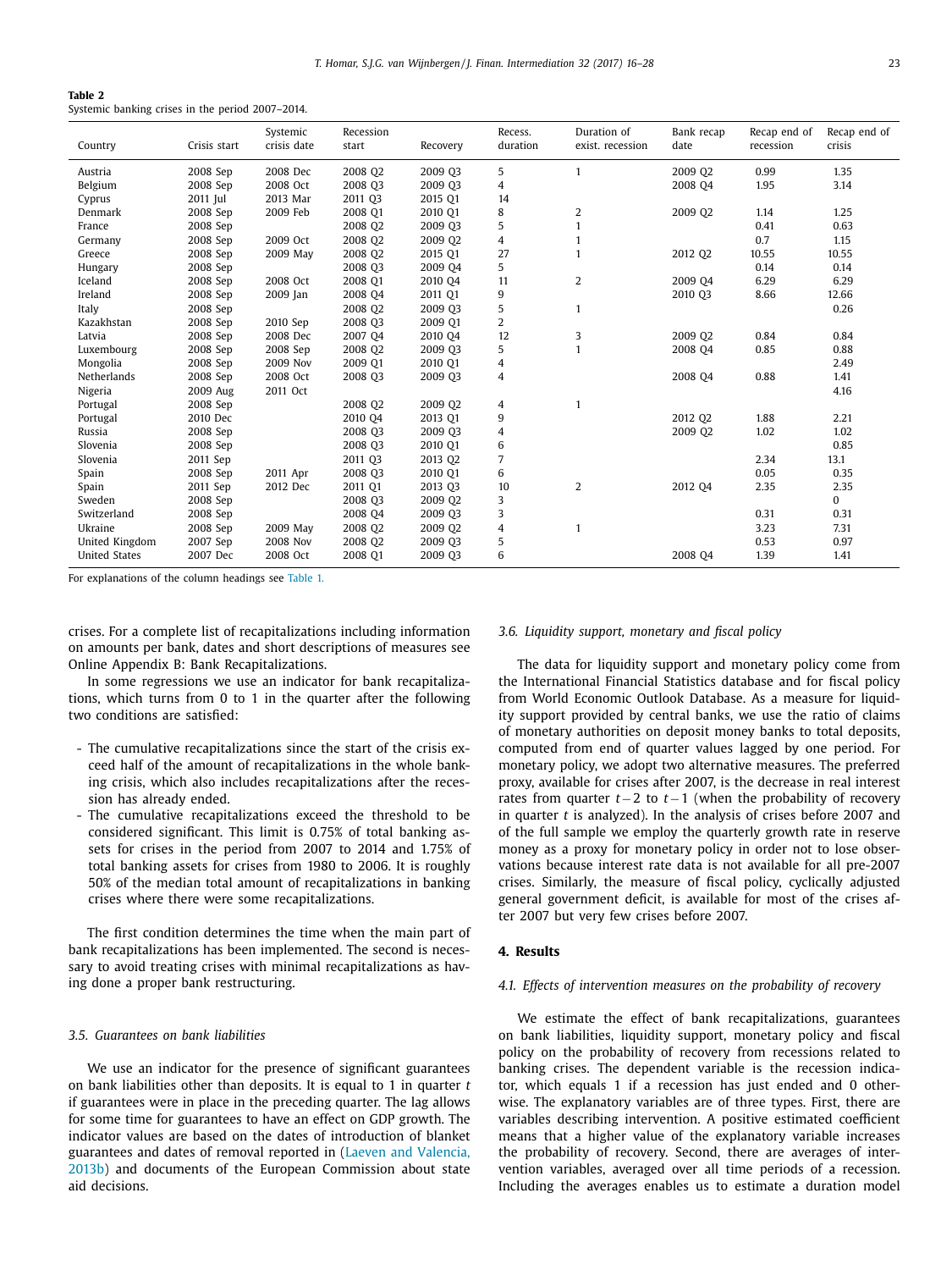<span id="page-7-0"></span>

| Table 2                                          |  |  |  |  |
|--------------------------------------------------|--|--|--|--|
| Systemic banking crises in the period 2007-2014. |  |  |  |  |

| Country              | Crisis start         | Systemic<br>crisis date | Recession<br>start | Recovery           | Recess.<br>duration | Duration of<br>exist. recession | Bank recap<br>date | Recap end of<br>recession | Recap end of<br>crisis |
|----------------------|----------------------|-------------------------|--------------------|--------------------|---------------------|---------------------------------|--------------------|---------------------------|------------------------|
|                      |                      |                         |                    |                    |                     | $\mathbf{1}$                    |                    |                           |                        |
| Austria<br>Belgium   | 2008 Sep<br>2008 Sep | 2008 Dec<br>2008 Oct    | 2008 02<br>2008 03 | 2009 03<br>2009 03 | 5<br>4              |                                 | 2009 02<br>2008 04 | 0.99<br>1.95              | 1.35<br>3.14           |
|                      | 2011 Jul             | 2013 Mar                | 2011 Q3            | 2015 01            | 14                  |                                 |                    |                           |                        |
| Cyprus<br>Denmark    | 2008 Sep             | 2009 Feb                | 2008 01            | 2010 01            | 8                   | 2                               | 2009 02            | 1.14                      | 1.25                   |
| France               | 2008 Sep             |                         | 2008 02            | 2009 03            | 5                   | $\mathbf{1}$                    |                    | 0.41                      | 0.63                   |
|                      | 2008 Sep             | 2009 Oct                | 2008 02            | 2009 02            | 4                   |                                 |                    | 0.7                       | 1.15                   |
| Germany              |                      |                         | 2008 02            |                    | 27                  | $\mathbf{1}$                    |                    |                           | 10.55                  |
| Greece               | 2008 Sep             | 2009 May                | 2008 03            | 2015 01<br>2009 04 | 5                   |                                 | 2012 Q2            | 10.55<br>0.14             |                        |
| Hungary<br>Iceland   | 2008 Sep<br>2008 Sep | 2008 Oct                | 2008 Q1            | 2010 04            | 11                  | $\overline{2}$                  | 2009 04            | 6.29                      | 0.14<br>6.29           |
| Ireland              | 2008 Sep             | 2009 Jan                | 2008 04            | 2011 01            | 9                   |                                 | 2010 03            | 8.66                      | 12.66                  |
|                      |                      |                         | 2008 02            |                    | 5                   |                                 |                    |                           | 0.26                   |
| Italy                | 2008 Sep             |                         | 2008 03            | 2009 03            | $\overline{2}$      | 1                               |                    |                           |                        |
| Kazakhstan           | 2008 Sep             | 2010 Sep                |                    | 2009 01            |                     |                                 |                    |                           |                        |
| Latvia               | 2008 Sep             | 2008 Dec                | 2007 04            | 2010 04            | 12                  | 3<br>$\mathbf{1}$               | 2009 02            | 0.84                      | 0.84                   |
| Luxembourg           | 2008 Sep             | 2008 Sep                | 2008 02            | 2009 03            | 5                   |                                 | 2008 04            | 0.85                      | 0.88                   |
| Mongolia             | 2008 Sep             | 2009 Nov                | 2009 01            | 2010 01            | 4                   |                                 |                    |                           | 2.49                   |
| Netherlands          | 2008 Sep             | 2008 Oct                | 2008 03            | 2009 03            | $\overline{4}$      |                                 | 2008 04            | 0.88                      | 1.41                   |
| Nigeria              | 2009 Aug             | 2011 Oct                |                    |                    |                     |                                 |                    |                           | 4.16                   |
| Portugal             | 2008 Sep             |                         | 2008 02            | 2009 02            | 4                   | 1                               |                    |                           |                        |
| Portugal             | 2010 Dec             |                         | 2010 04            | 2013 01            | 9                   |                                 | 2012 02            | 1.88                      | 2.21                   |
| Russia               | 2008 Sep             |                         | 2008 Q3            | 2009 03            | 4                   |                                 | 2009 02            | 1.02                      | 1.02                   |
| Slovenia             | 2008 Sep             |                         | 2008 03            | 2010 01            | 6                   |                                 |                    |                           | 0.85                   |
| Slovenia             | 2011 Sep             |                         | 2011 03            | 2013 02            | $\overline{7}$      |                                 |                    | 2.34                      | 13.1                   |
| Spain                | 2008 Sep             | 2011 Apr                | 2008 03            | 2010 01            | 6                   |                                 |                    | 0.05                      | 0.35                   |
| Spain                | 2011 Sep             | 2012 Dec                | 2011 01            | 2013 03            | 10                  | $\overline{2}$                  | 2012 04            | 2.35                      | 2.35                   |
| Sweden               | 2008 Sep             |                         | 2008 03            | 2009 02            | 3                   |                                 |                    |                           | 0                      |
| Switzerland          | 2008 Sep             |                         | 2008 04            | 2009 03            | 3                   |                                 |                    | 0.31                      | 0.31                   |
| Ukraine              | 2008 Sep             | 2009 May                | 2008 02            | 2009 02            | 4                   | $\mathbf{1}$                    |                    | 3.23                      | 7.31                   |
| United Kingdom       | 2007 Sep             | 2008 Nov                | 2008 Q2            | 2009 03            | 5                   |                                 |                    | 0.53                      | 0.97                   |
| <b>United States</b> | 2007 Dec             | 2008 Oct                | 2008 01            | 2009 Q3            | 6                   |                                 | 2008 04            | 1.39                      | 1.41                   |

For explanations of the column headings see [Table](#page-6-0) 1.

crises. For a complete list of recapitalizations including information on amounts per bank, dates and short descriptions of measures see Online Appendix B: Bank Recapitalizations.

In some regressions we use an indicator for bank recapitalizations, which turns from 0 to 1 in the quarter after the following two conditions are satisfied:

- The cumulative recapitalizations since the start of the crisis exceed half of the amount of recapitalizations in the whole banking crisis, which also includes recapitalizations after the recession has already ended.
- The cumulative recapitalizations exceed the threshold to be considered significant. This limit is 0.75% of total banking assets for crises in the period from 2007 to 2014 and 1.75% of total banking assets for crises from 1980 to 2006. It is roughly 50% of the median total amount of recapitalizations in banking crises where there were some recapitalizations.

The first condition determines the time when the main part of bank recapitalizations has been implemented. The second is necessary to avoid treating crises with minimal recapitalizations as having done a proper bank restructuring.

# *3.5. Guarantees on bank liabilities*

We use an indicator for the presence of significant guarantees on bank liabilities other than deposits. It is equal to 1 in quarter *t* if guarantees were in place in the preceding quarter. The lag allows for some time for guarantees to have an effect on GDP growth. The indicator values are based on the dates of introduction of blanket guarantees and dates of removal reported in (Laeven and Valencia, 2013b) and documents of the European [Commission](#page-12-0) about state aid decisions.

#### *3.6. Liquidity support, monetary and fiscal policy*

The data for liquidity support and monetary policy come from the International Financial Statistics database and for fiscal policy from World Economic Outlook Database. As a measure for liquidity support provided by central banks, we use the ratio of claims of monetary authorities on deposit money banks to total deposits, computed from end of quarter values lagged by one period. For monetary policy, we adopt two alternative measures. The preferred proxy, available for crises after 2007, is the decrease in real interest rates from quarter *t*−2 to *t*−1 (when the probability of recovery in quarter *t* is analyzed). In the analysis of crises before 2007 and of the full sample we employ the quarterly growth rate in reserve money as a proxy for monetary policy in order not to lose observations because interest rate data is not available for all pre-2007 crises. Similarly, the measure of fiscal policy, cyclically adjusted general government deficit, is available for most of the crises after 2007 but very few crises before 2007.

# **4. Results**

# *4.1. Effects of intervention measures on the probability of recovery*

We estimate the effect of bank recapitalizations, guarantees on bank liabilities, liquidity support, monetary policy and fiscal policy on the probability of recovery from recessions related to banking crises. The dependent variable is the recession indicator, which equals 1 if a recession has just ended and 0 otherwise. The explanatory variables are of three types. First, there are variables describing intervention. A positive estimated coefficient means that a higher value of the explanatory variable increases the probability of recovery. Second, there are averages of intervention variables, averaged over all time periods of a recession. Including the averages enables us to estimate a duration model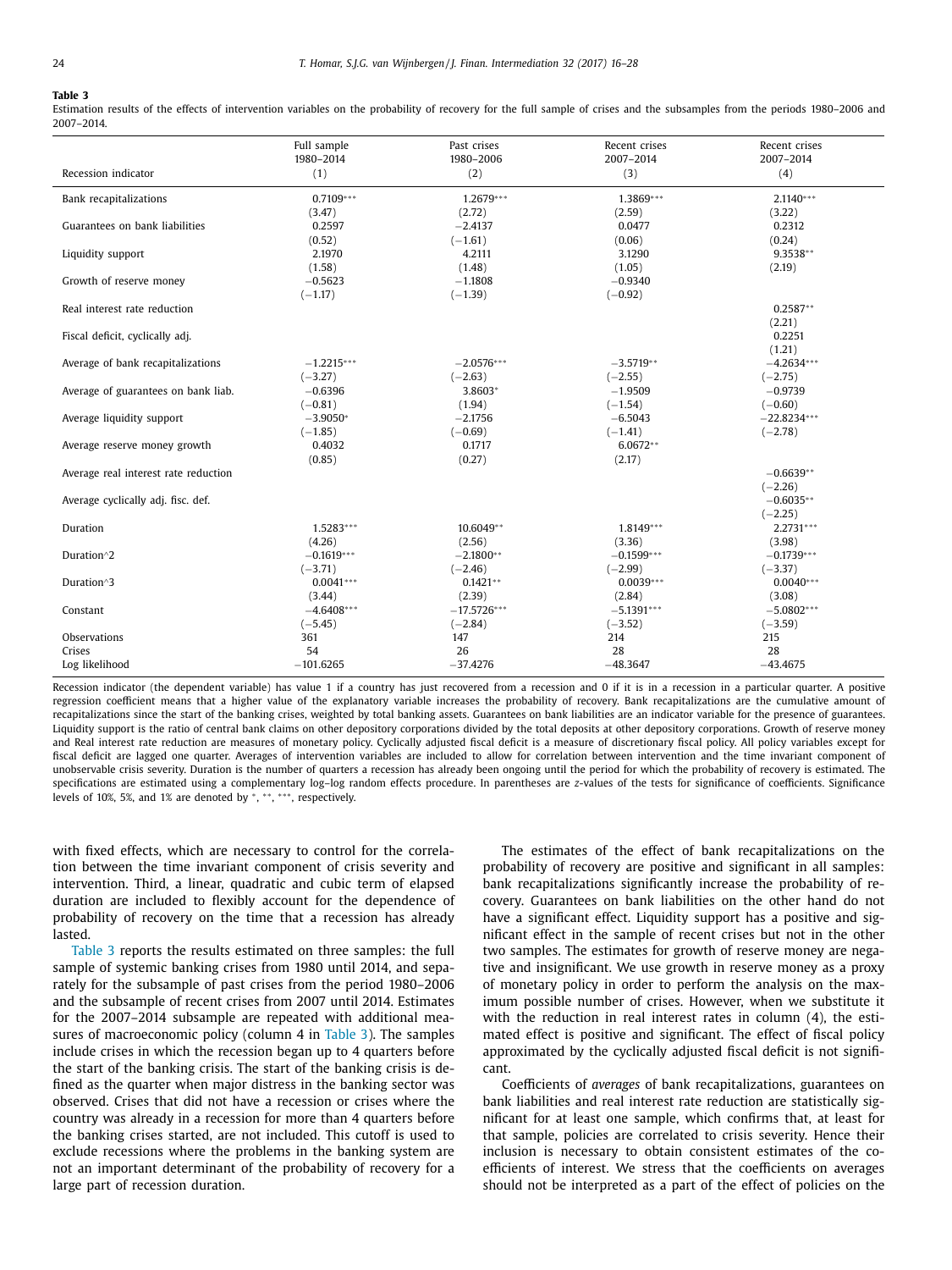# <span id="page-8-0"></span>**Table 3**

Estimation results of the effects of intervention variables on the probability of recovery for the full sample of crises and the subsamples from the periods 1980–2006 and 2007–2014.

|                                      | Full sample<br>1980-2014            | Past crises<br>1980-2006             | Recent crises<br>2007-2014          | Recent crises<br>2007-2014          |
|--------------------------------------|-------------------------------------|--------------------------------------|-------------------------------------|-------------------------------------|
| Recession indicator                  | (1)                                 | (2)                                  | (3)                                 | (4)                                 |
| <b>Bank recapitalizations</b>        | $0.7109***$<br>(3.47)               | $1.2679***$<br>(2.72)                | 1.3869***<br>(2.59)                 | $2.1140***$<br>(3.22)               |
| Guarantees on bank liabilities       | 0.2597<br>(0.52)                    | $-2.4137$<br>$(-1.61)$               | 0.0477<br>(0.06)                    | 0.2312<br>(0.24)                    |
| Liquidity support                    | 2.1970<br>(1.58)                    | 4.2111<br>(1.48)                     | 3.1290<br>(1.05)                    | $9.3538**$<br>(2.19)                |
| Growth of reserve money              | $-0.5623$<br>$(-1.17)$              | $-1.1808$<br>$(-1.39)$               | $-0.9340$<br>$(-0.92)$              |                                     |
| Real interest rate reduction         |                                     |                                      |                                     | $0.2587**$<br>(2.21)                |
| Fiscal deficit, cyclically adj.      |                                     |                                      |                                     | 0.2251<br>(1.21)                    |
| Average of bank recapitalizations    | $-1.2215***$<br>$(-3.27)$           | $-2.0576***$<br>$(-2.63)$            | $-3.5719**$<br>$(-2.55)$            | $-4.2634***$<br>$(-2.75)$           |
| Average of guarantees on bank liab.  | $-0.6396$<br>$(-0.81)$              | 3.8603*<br>(1.94)                    | $-1.9509$<br>$(-1.54)$              | $-0.9739$<br>$(-0.60)$              |
| Average liquidity support            | $-3.9050*$<br>$(-1.85)$             | $-2,1756$<br>$(-0.69)$               | $-6.5043$<br>$(-1.41)$              | $-22.8234***$<br>$(-2.78)$          |
| Average reserve money growth         | 0.4032<br>(0.85)                    | 0.1717<br>(0.27)                     | $6.0672**$<br>(2.17)                |                                     |
| Average real interest rate reduction |                                     |                                      |                                     | $-0.6639**$<br>$(-2.26)$            |
| Average cyclically adj. fisc. def.   |                                     |                                      |                                     | $-0.6035**$<br>$(-2.25)$            |
| Duration                             | $1.5283***$<br>(4.26)               | 10.6049**<br>(2.56)                  | 1.8149***<br>(3.36)                 | $2.2731***$<br>(3.98)               |
| Duration^2                           | $-0.1619***$<br>$(-3.71)$           | $-2.1800**$<br>$(-2.46)$             | $-0.1599***$<br>$(-2.99)$           | $-0.1739***$<br>$(-3.37)$           |
| Duration^3                           | $0.0041***$                         | $0.1421**$                           | $0.0039***$                         | $0.0040***$                         |
| Constant                             | (3.44)<br>$-4.6408***$<br>$(-5.45)$ | (2.39)<br>$-17.5726***$<br>$(-2.84)$ | (2.84)<br>$-5.1391***$<br>$(-3.52)$ | (3.08)<br>$-5.0802***$<br>$(-3.59)$ |
| Observations                         | 361                                 | 147                                  | 214                                 | 215                                 |
| Crises                               | 54                                  | 26                                   | 28                                  | 28                                  |
| Log likelihood                       | $-101.6265$                         | $-37,4276$                           | $-48.3647$                          | $-43,4675$                          |

Recession indicator (the dependent variable) has value 1 if a country has just recovered from a recession and 0 if it is in a recession in a particular quarter. A positive regression coefficient means that a higher value of the explanatory variable increases the probability of recovery. Bank recapitalizations are the cumulative amount of recapitalizations since the start of the banking crises, weighted by total banking assets. Guarantees on bank liabilities are an indicator variable for the presence of guarantees. Liquidity support is the ratio of central bank claims on other depository corporations divided by the total deposits at other depository corporations. Growth of reserve money and Real interest rate reduction are measures of monetary policy. Cyclically adjusted fiscal deficit is a measure of discretionary fiscal policy. All policy variables except for fiscal deficit are lagged one quarter. Averages of intervention variables are included to allow for correlation between intervention and the time invariant component of unobservable crisis severity. Duration is the number of quarters a recession has already been ongoing until the period for which the probability of recovery is estimated. The specifications are estimated using a complementary log–log random effects procedure. In parentheses are *z*-values of the tests for significance of coefficients. Significance levels of 10%, 5%, and 1% are denoted by <sup>∗</sup>, ∗∗, ∗∗∗, respectively.

with fixed effects, which are necessary to control for the correlation between the time invariant component of crisis severity and intervention. Third, a linear, quadratic and cubic term of elapsed duration are included to flexibly account for the dependence of probability of recovery on the time that a recession has already lasted.

Table 3 reports the results estimated on three samples: the full sample of systemic banking crises from 1980 until 2014, and separately for the subsample of past crises from the period 1980–2006 and the subsample of recent crises from 2007 until 2014. Estimates for the 2007–2014 subsample are repeated with additional measures of macroeconomic policy (column 4 in Table 3). The samples include crises in which the recession began up to 4 quarters before the start of the banking crisis. The start of the banking crisis is defined as the quarter when major distress in the banking sector was observed. Crises that did not have a recession or crises where the country was already in a recession for more than 4 quarters before the banking crises started, are not included. This cutoff is used to exclude recessions where the problems in the banking system are not an important determinant of the probability of recovery for a large part of recession duration.

The estimates of the effect of bank recapitalizations on the probability of recovery are positive and significant in all samples: bank recapitalizations significantly increase the probability of recovery. Guarantees on bank liabilities on the other hand do not have a significant effect. Liquidity support has a positive and significant effect in the sample of recent crises but not in the other two samples. The estimates for growth of reserve money are negative and insignificant. We use growth in reserve money as a proxy of monetary policy in order to perform the analysis on the maximum possible number of crises. However, when we substitute it with the reduction in real interest rates in column (4), the estimated effect is positive and significant. The effect of fiscal policy approximated by the cyclically adjusted fiscal deficit is not significant.

Coefficients of *averages* of bank recapitalizations, guarantees on bank liabilities and real interest rate reduction are statistically significant for at least one sample, which confirms that, at least for that sample, policies are correlated to crisis severity. Hence their inclusion is necessary to obtain consistent estimates of the coefficients of interest. We stress that the coefficients on averages should not be interpreted as a part of the effect of policies on the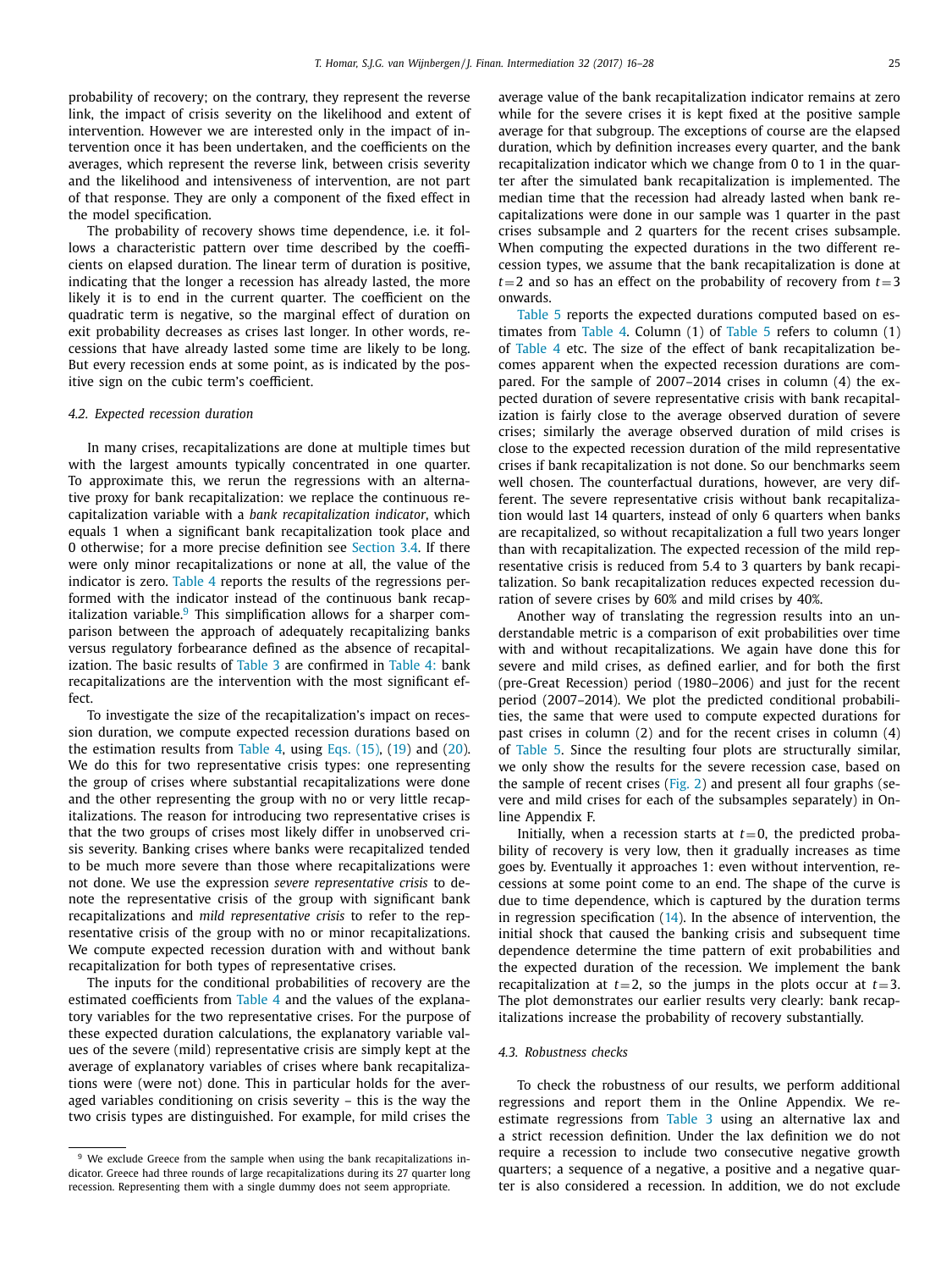probability of recovery; on the contrary, they represent the reverse link, the impact of crisis severity on the likelihood and extent of intervention. However we are interested only in the impact of intervention once it has been undertaken, and the coefficients on the averages, which represent the reverse link, between crisis severity and the likelihood and intensiveness of intervention, are not part of that response. They are only a component of the fixed effect in the model specification.

The probability of recovery shows time dependence, i.e. it follows a characteristic pattern over time described by the coefficients on elapsed duration. The linear term of duration is positive, indicating that the longer a recession has already lasted, the more likely it is to end in the current quarter. The coefficient on the quadratic term is negative, so the marginal effect of duration on exit probability decreases as crises last longer. In other words, recessions that have already lasted some time are likely to be long. But every recession ends at some point, as is indicated by the positive sign on the cubic term's coefficient.

#### *4.2. Expected recession duration*

In many crises, recapitalizations are done at multiple times but with the largest amounts typically concentrated in one quarter. To approximate this, we rerun the regressions with an alternative proxy for bank recapitalization: we replace the continuous recapitalization variable with a *bank recapitalization indicator*, which equals 1 when a significant bank recapitalization took place and 0 otherwise; for a more precise definition see [Section](#page-5-0) 3.4. If there were only minor recapitalizations or none at all, the value of the indicator is zero. [Table](#page-10-0) 4 reports the results of the regressions performed with the indicator instead of the continuous bank recapitalization variable.<sup>9</sup> This simplification allows for a sharper comparison between the approach of adequately recapitalizing banks versus regulatory forbearance defined as the absence of recapitalization. The basic results of [Table](#page-8-0) 3 are confirmed in [Table](#page-10-0) 4: bank recapitalizations are the intervention with the most significant effect.

To investigate the size of the recapitalization's impact on recession duration, we compute expected recession durations based on the estimation results from [Table](#page-10-0) 4, using Eqs. [\(15\),](#page-4-0) [\(19\)](#page-5-0) and [\(20\)](#page-5-0). We do this for two representative crisis types: one representing the group of crises where substantial recapitalizations were done and the other representing the group with no or very little recapitalizations. The reason for introducing two representative crises is that the two groups of crises most likely differ in unobserved crisis severity. Banking crises where banks were recapitalized tended to be much more severe than those where recapitalizations were not done. We use the expression *severe representative crisis* to denote the representative crisis of the group with significant bank recapitalizations and *mild representative crisis* to refer to the representative crisis of the group with no or minor recapitalizations. We compute expected recession duration with and without bank recapitalization for both types of representative crises.

The inputs for the conditional probabilities of recovery are the estimated coefficients from [Table](#page-10-0) 4 and the values of the explanatory variables for the two representative crises. For the purpose of these expected duration calculations, the explanatory variable values of the severe (mild) representative crisis are simply kept at the average of explanatory variables of crises where bank recapitalizations were (were not) done. This in particular holds for the averaged variables conditioning on crisis severity – this is the way the two crisis types are distinguished. For example, for mild crises the

average value of the bank recapitalization indicator remains at zero while for the severe crises it is kept fixed at the positive sample average for that subgroup. The exceptions of course are the elapsed duration, which by definition increases every quarter, and the bank recapitalization indicator which we change from 0 to 1 in the quarter after the simulated bank recapitalization is implemented. The median time that the recession had already lasted when bank recapitalizations were done in our sample was 1 quarter in the past crises subsample and 2 quarters for the recent crises subsample. When computing the expected durations in the two different recession types, we assume that the bank recapitalization is done at  $t=2$  and so has an effect on the probability of recovery from  $t=3$ onwards.

[Table](#page-10-0) 5 reports the expected durations computed based on estimates from [Table](#page-10-0) 4. Column (1) of [Table](#page-10-0) 5 refers to column (1) of [Table](#page-10-0) 4 etc. The size of the effect of bank recapitalization becomes apparent when the expected recession durations are compared. For the sample of 2007–2014 crises in column (4) the expected duration of severe representative crisis with bank recapitalization is fairly close to the average observed duration of severe crises; similarly the average observed duration of mild crises is close to the expected recession duration of the mild representative crises if bank recapitalization is not done. So our benchmarks seem well chosen. The counterfactual durations, however, are very different. The severe representative crisis without bank recapitalization would last 14 quarters, instead of only 6 quarters when banks are recapitalized, so without recapitalization a full two years longer than with recapitalization. The expected recession of the mild representative crisis is reduced from 5.4 to 3 quarters by bank recapitalization. So bank recapitalization reduces expected recession duration of severe crises by 60% and mild crises by 40%.

Another way of translating the regression results into an understandable metric is a comparison of exit probabilities over time with and without recapitalizations. We again have done this for severe and mild crises, as defined earlier, and for both the first (pre-Great Recession) period (1980–2006) and just for the recent period (2007–2014). We plot the predicted conditional probabilities, the same that were used to compute expected durations for past crises in column (2) and for the recent crises in column (4) of [Table](#page-10-0) 5. Since the resulting four plots are structurally similar, we only show the results for the severe recession case, based on the sample of recent crises ( $Fig. 2$ ) and present all four graphs (severe and mild crises for each of the subsamples separately) in Online Appendix F.

Initially, when a recession starts at  $t=0$ , the predicted probability of recovery is very low, then it gradually increases as time goes by. Eventually it approaches 1: even without intervention, recessions at some point come to an end. The shape of the curve is due to time dependence, which is captured by the duration terms in regression specification [\(14\)](#page-4-0). In the absence of intervention, the initial shock that caused the banking crisis and subsequent time dependence determine the time pattern of exit probabilities and the expected duration of the recession. We implement the bank recapitalization at  $t=2$ , so the jumps in the plots occur at  $t=3$ . The plot demonstrates our earlier results very clearly: bank recapitalizations increase the probability of recovery substantially.

#### *4.3. Robustness checks*

To check the robustness of our results, we perform additional regressions and report them in the Online Appendix. We re-estimate regressions from [Table](#page-8-0) 3 using an alternative lax and a strict recession definition. Under the lax definition we do not require a recession to include two consecutive negative growth quarters; a sequence of a negative, a positive and a negative quarter is also considered a recession. In addition, we do not exclude

<sup>&</sup>lt;sup>9</sup> We exclude Greece from the sample when using the bank recapitalizations indicator. Greece had three rounds of large recapitalizations during its 27 quarter long recession. Representing them with a single dummy does not seem appropriate.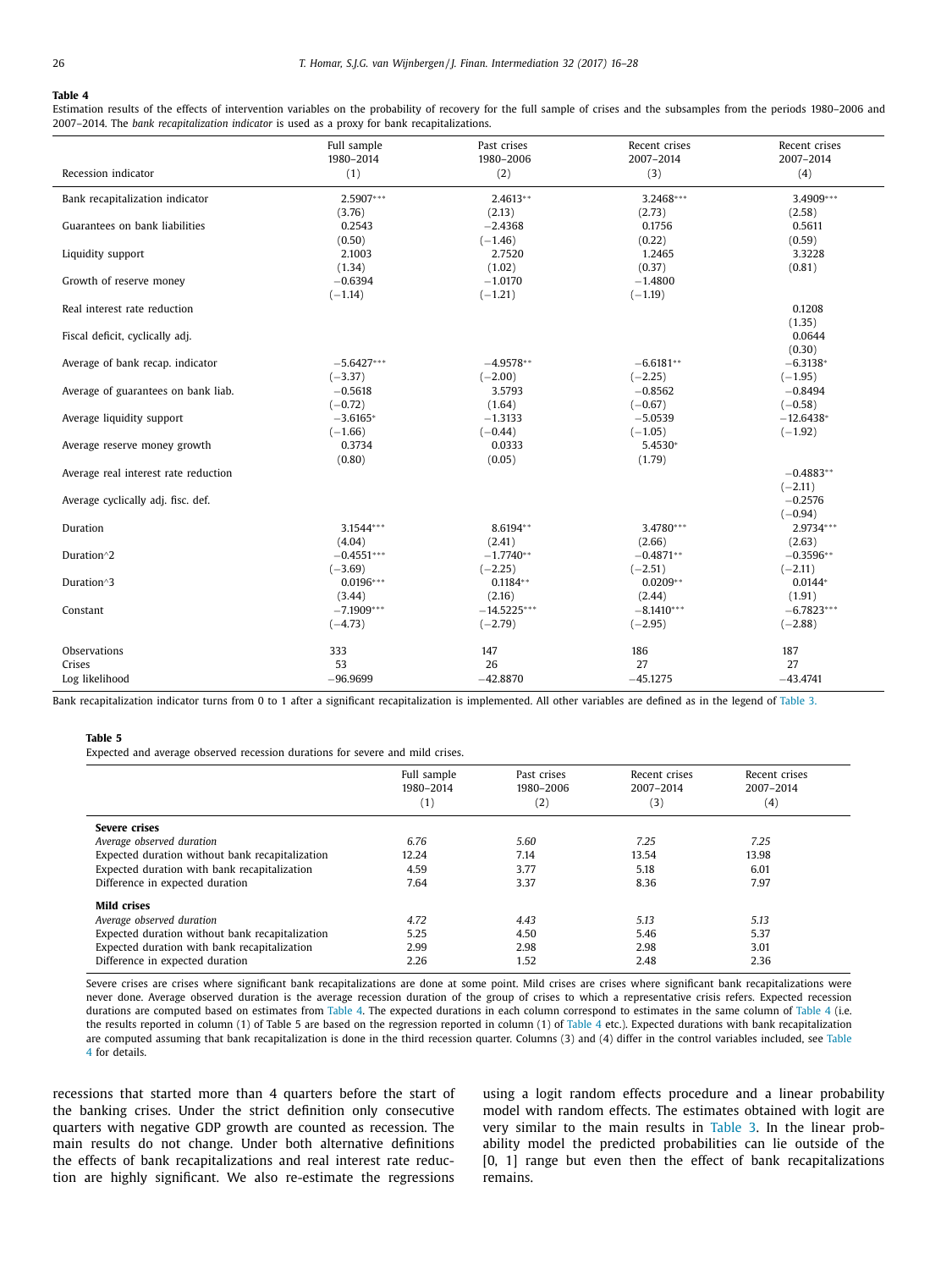#### <span id="page-10-0"></span>**Table 4**

Estimation results of the effects of intervention variables on the probability of recovery for the full sample of crises and the subsamples from the periods 1980–2006 and 2007–2014. The *bank recapitalization indicator* is used as a proxy for bank recapitalizations.

|                                      | Full sample            | Past crises            | Recent crises          | Recent crises            |
|--------------------------------------|------------------------|------------------------|------------------------|--------------------------|
|                                      | 1980-2014              | 1980-2006              | 2007-2014              | 2007-2014                |
| Recession indicator                  | (1)                    | (2)                    | (3)                    | (4)                      |
| Bank recapitalization indicator      | $2.5907***$            | $2.4613**$             | 3.2468***              | 3.4909***                |
| Guarantees on bank liabilities       | (3.76)                 | (2.13)                 | (2.73)                 | (2.58)                   |
|                                      | 0.2543                 | $-2.4368$              | 0.1756                 | 0.5611                   |
|                                      | (0.50)                 | $(-1.46)$              | (0.22)                 | (0.59)                   |
| Liquidity support                    | 2.1003                 | 2.7520                 | 1.2465                 | 3.3228                   |
|                                      | (1.34)                 | (1.02)                 | (0.37)                 | (0.81)                   |
| Growth of reserve money              | $-0.6394$<br>$(-1.14)$ | $-1.0170$<br>$(-1.21)$ | $-1.4800$<br>$(-1.19)$ |                          |
| Real interest rate reduction         |                        |                        |                        | 0.1208<br>(1.35)         |
| Fiscal deficit, cyclically adj.      |                        |                        |                        | 0.0644<br>(0.30)         |
| Average of bank recap. indicator     | $-5.6427***$           | $-4.9578**$            | $-6.6181**$            | $-6.3138*$               |
|                                      | $(-3.37)$              | $(-2.00)$              | $(-2.25)$              | $(-1.95)$                |
| Average of guarantees on bank liab.  | $-0.5618$              | 3.5793                 | $-0.8562$              | $-0.8494$                |
|                                      | $(-0.72)$              | (1.64)                 | $(-0.67)$              | $(-0.58)$                |
| Average liquidity support            | $-3.6165*$             | $-1.3133$              | $-5.0539$              | $-12.6438*$              |
|                                      | $(-1.66)$              | $(-0.44)$              | $(-1.05)$              | $(-1.92)$                |
| Average reserve money growth         | 0.3734<br>(0.80)       | 0.0333<br>(0.05)       | 5.4530*<br>(1.79)      |                          |
| Average real interest rate reduction |                        |                        |                        | $-0.4883**$<br>$(-2.11)$ |
| Average cyclically adj. fisc. def.   |                        |                        |                        | $-0.2576$<br>$(-0.94)$   |
| Duration                             | $3.1544***$            | 8.6194**               | 3.4780***              | 2.9734***                |
|                                      | (4.04)                 | (2.41)                 | (2.66)                 | (2.63)                   |
| Duration^2                           | $-0.4551***$           | $-1.7740**$            | $-0.4871**$            | $-0.3596**$              |
|                                      | $(-3.69)$              | $(-2.25)$              | $(-2.51)$              | $(-2.11)$                |
| Duration^3                           | $0.0196***$            | $0.1184**$             | $0.0209**$             | $0.0144*$                |
|                                      | (3.44)                 | (2.16)                 | (2.44)                 | (1.91)                   |
| Constant                             | $-7.1909***$           | $-14.5225***$          | $-8.1410***$           | $-6.7823***$             |
|                                      | $(-4.73)$              | $(-2.79)$              | $(-2.95)$              | $(-2.88)$                |
| Observations                         | 333                    | 147                    | 186                    | 187                      |
| Crises                               | 53                     | 26                     | 27                     | 27                       |
| Log likelihood                       | $-96.9699$             | $-42.8870$             | $-45,1275$             | $-43.4741$               |

Bank recapitalization indicator turns from 0 to 1 after a significant recapitalization is implemented. All other variables are defined as in the legend of [Table](#page-8-0) 3.

#### **Table 5**

Expected and average observed recession durations for severe and mild crises.

|                                                 | Full sample<br>1980-2014<br>(1) | Past crises<br>1980-2006<br>(2) | Recent crises<br>2007-2014<br>(3) | Recent crises<br>2007-2014<br>(4) |
|-------------------------------------------------|---------------------------------|---------------------------------|-----------------------------------|-----------------------------------|
| <b>Severe crises</b>                            |                                 |                                 |                                   |                                   |
| Average observed duration                       | 6.76                            | 5.60                            | 7.25                              | 7.25                              |
| Expected duration without bank recapitalization | 12.24                           | 7.14                            | 13.54                             | 13.98                             |
| Expected duration with bank recapitalization    | 4.59                            | 3.77                            | 5.18                              | 6.01                              |
| Difference in expected duration                 | 7.64                            | 3.37                            | 8.36                              | 7.97                              |
| Mild crises                                     |                                 |                                 |                                   |                                   |
| Average observed duration                       | 4.72                            | 4.43                            | 5.13                              | 5.13                              |
| Expected duration without bank recapitalization | 5.25                            | 4.50                            | 5.46                              | 5.37                              |
| Expected duration with bank recapitalization    | 2.99                            | 2.98                            | 2.98                              | 3.01                              |
| Difference in expected duration                 | 2.26                            | 1.52                            | 2.48                              | 2.36                              |

Severe crises are crises where significant bank recapitalizations are done at some point. Mild crises are crises where significant bank recapitalizations were never done. Average observed duration is the average recession duration of the group of crises to which a representative crisis refers. Expected recession durations are computed based on estimates from Table 4. The expected durations in each column correspond to estimates in the same column of Table 4 (i.e. the results reported in column (1) of Table 5 are based on the regression reported in column (1) of Table 4 etc.). Expected durations with bank recapitalization are computed assuming that bank recapitalization is done in the third recession quarter. Columns (3) and (4) differ in the control variables included, see Table 4 for details.

recessions that started more than 4 quarters before the start of the banking crises. Under the strict definition only consecutive quarters with negative GDP growth are counted as recession. The main results do not change. Under both alternative definitions the effects of bank recapitalizations and real interest rate reduction are highly significant. We also re-estimate the regressions using a logit random effects procedure and a linear probability model with random effects. The estimates obtained with logit are very similar to the main results in [Table](#page-8-0) 3. In the linear probability model the predicted probabilities can lie outside of the [0, 1] range but even then the effect of bank recapitalizations remains.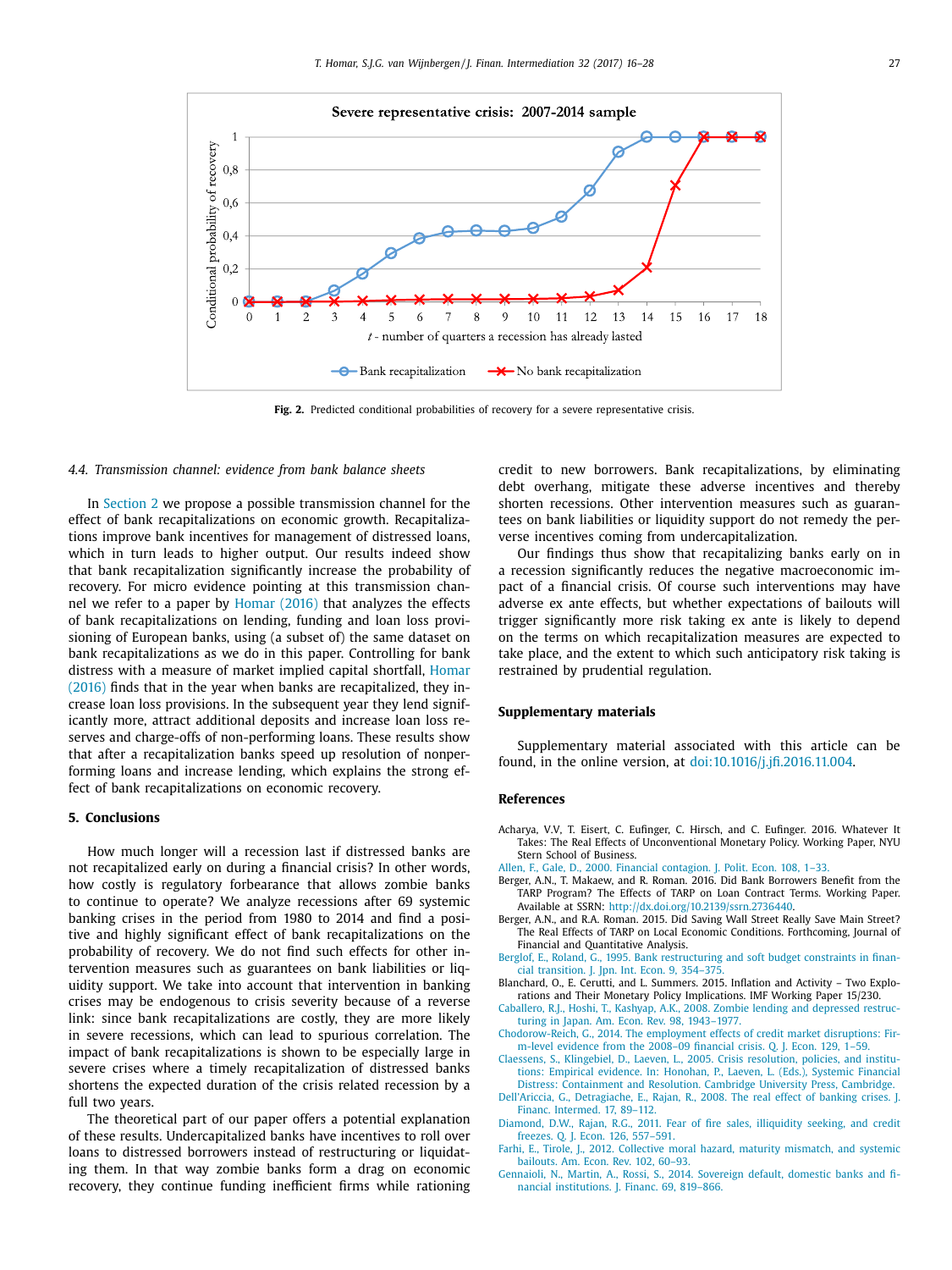<span id="page-11-0"></span>

**Fig. 2.** Predicted conditional probabilities of recovery for a severe representative crisis.

#### *4.4. Transmission channel: evidence from bank balance sheets*

In [Section](#page-1-0) 2 we propose a possible transmission channel for the effect of bank recapitalizations on economic growth. Recapitalizations improve bank incentives for management of distressed loans, which in turn leads to higher output. Our results indeed show that bank recapitalization significantly increase the probability of recovery. For micro evidence pointing at this transmission channel we refer to a paper by [Homar](#page-12-0) (2016) that analyzes the effects of bank recapitalizations on lending, funding and loan loss provisioning of European banks, using (a subset of) the same dataset on bank recapitalizations as we do in this paper. Controlling for bank distress with a measure of market implied capital shortfall, Homar (2016) finds that in the year when banks are [recapitalized,](#page-12-0) they increase loan loss provisions. In the subsequent year they lend significantly more, attract additional deposits and increase loan loss reserves and charge-offs of non-performing loans. These results show that after a recapitalization banks speed up resolution of nonperforming loans and increase lending, which explains the strong effect of bank recapitalizations on economic recovery.

# **5. Conclusions**

How much longer will a recession last if distressed banks are not recapitalized early on during a financial crisis? In other words, how costly is regulatory forbearance that allows zombie banks to continue to operate? We analyze recessions after 69 systemic banking crises in the period from 1980 to 2014 and find a positive and highly significant effect of bank recapitalizations on the probability of recovery. We do not find such effects for other intervention measures such as guarantees on bank liabilities or liquidity support. We take into account that intervention in banking crises may be endogenous to crisis severity because of a reverse link: since bank recapitalizations are costly, they are more likely in severe recessions, which can lead to spurious correlation. The impact of bank recapitalizations is shown to be especially large in severe crises where a timely recapitalization of distressed banks shortens the expected duration of the crisis related recession by a full two years.

The theoretical part of our paper offers a potential explanation of these results. Undercapitalized banks have incentives to roll over loans to distressed borrowers instead of restructuring or liquidating them. In that way zombie banks form a drag on economic recovery, they continue funding inefficient firms while rationing credit to new borrowers. Bank recapitalizations, by eliminating debt overhang, mitigate these adverse incentives and thereby shorten recessions. Other intervention measures such as guarantees on bank liabilities or liquidity support do not remedy the perverse incentives coming from undercapitalization.

Our findings thus show that recapitalizing banks early on in a recession significantly reduces the negative macroeconomic impact of a financial crisis. Of course such interventions may have adverse ex ante effects, but whether expectations of bailouts will trigger significantly more risk taking ex ante is likely to depend on the terms on which recapitalization measures are expected to take place, and the extent to which such anticipatory risk taking is restrained by prudential regulation.

# **Supplementary materials**

Supplementary material associated with this article can be found, in the online version, at [doi:10.1016/j.jfi.2016.11.004.](http://dx.doi.org/10.1016/j.jfi.2016.11.004)

# **References**

- Acharya, V.V, T. Eisert, C. Eufinger, C. Hirsch, and C. Eufinger. 2016. Whatever It Takes: The Real Effects of Unconventional Monetary Policy. Working Paper, NYU Stern School of Business.
- [Allen,](http://refhub.elsevier.com/S1042-9573(16)30063-8/sbref0001) F., [Gale,](http://refhub.elsevier.com/S1042-9573(16)30063-8/sbref0001) D., 2000. Financial [contagion.](http://refhub.elsevier.com/S1042-9573(16)30063-8/sbref0001) J. Polit. Econ. 108, 1–33.
- Berger, A.N., T. Makaew, and R. Roman. 2016. Did Bank Borrowers Benefit from the TARP Program? The Effects of TARP on Loan Contract Terms. Working Paper. Available at SSRN: [http://dx.doi.org/10.2139/ssrn.2736440.](http://dx.doi.org/10.2139/ssrn.2736440)
- Berger, A.N., and R.A. Roman. 2015. Did Saving Wall Street Really Save Main Street? The Real Effects of TARP on Local Economic Conditions. Forthcoming, Journal of Financial and Quantitative Analysis.
- [Berglof,](http://refhub.elsevier.com/S1042-9573(16)30063-8/sbref0002) E., [Roland,](http://refhub.elsevier.com/S1042-9573(16)30063-8/sbref0002) G., 1995. Bank [restructuring](http://refhub.elsevier.com/S1042-9573(16)30063-8/sbref0002) and soft budget constraints in financial transition. J. Jpn. Int. Econ. 9, 354–375.
- Blanchard, O., E. Cerutti, and L. Summers. 2015. Inflation and Activity Two Explorations and Their Monetary Policy Implications. IMF Working Paper 15/230.
- [Caballero,](http://refhub.elsevier.com/S1042-9573(16)30063-8/sbref0003) R.J., [Hoshi,](http://refhub.elsevier.com/S1042-9573(16)30063-8/sbref0003) T., [Kashyap,](http://refhub.elsevier.com/S1042-9573(16)30063-8/sbref0003) A.K., 2008. Zombie lending and depressed restructuring in Japan. Am. Econ. Rev. 98, [1943–1977.](http://refhub.elsevier.com/S1042-9573(16)30063-8/sbref0003)
- [Chodorow-Reich,](http://refhub.elsevier.com/S1042-9573(16)30063-8/sbref0004) G., 2014. The employment effects of credit market disruptions: Firm-level evidence from the 2008–09 financial crisis. Q. J. Econ. 129, 1–59.
- [Claessens,](http://refhub.elsevier.com/S1042-9573(16)30063-8/sbref0005) S., [Klingebiel,](http://refhub.elsevier.com/S1042-9573(16)30063-8/sbref0005) D., [Laeven,](http://refhub.elsevier.com/S1042-9573(16)30063-8/sbref0005) L., 2005. Crisis resolution, policies, and institutions: Empirical evidence. In: Honohan, P., Laeven, L. (Eds.), Systemic Financial
- Distress: [Containment](http://refhub.elsevier.com/S1042-9573(16)30063-8/sbref0005) and Resolution. Cambridge University Press, Cambridge. [Dell'Ariccia,](http://refhub.elsevier.com/S1042-9573(16)30063-8/sbref0007) G., [Detragiache,](http://refhub.elsevier.com/S1042-9573(16)30063-8/sbref0007) E., [Rajan,](http://refhub.elsevier.com/S1042-9573(16)30063-8/sbref0007) R., 2008. The real effect of banking crises. J. Financ. Intermed. 17, 89–112.
- [Diamond,](http://refhub.elsevier.com/S1042-9573(16)30063-8/sbref0008) D.W., [Rajan,](http://refhub.elsevier.com/S1042-9573(16)30063-8/sbref0008) R.G., 2011. Fear of fire sales, [illiquidity](http://refhub.elsevier.com/S1042-9573(16)30063-8/sbref0008) seeking, and credit freezes. Q. J. Econ. 126, 557–591.
- [Farhi,](http://refhub.elsevier.com/S1042-9573(16)30063-8/sbref0009) E., [Tirole,](http://refhub.elsevier.com/S1042-9573(16)30063-8/sbref0009) J., 2012. Collective moral hazard, maturity [mismatch,](http://refhub.elsevier.com/S1042-9573(16)30063-8/sbref0009) and systemic bailouts. Am. Econ. Rev. 102, 60–93.
- [Gennaioli,](http://refhub.elsevier.com/S1042-9573(16)30063-8/sbref0010) N., [Martin,](http://refhub.elsevier.com/S1042-9573(16)30063-8/sbref0010) A., [Rossi,](http://refhub.elsevier.com/S1042-9573(16)30063-8/sbref0010) S., 2014. Sovereign default, domestic banks and financial [institutions.](http://refhub.elsevier.com/S1042-9573(16)30063-8/sbref0010) J. Financ. 69, 819–866.